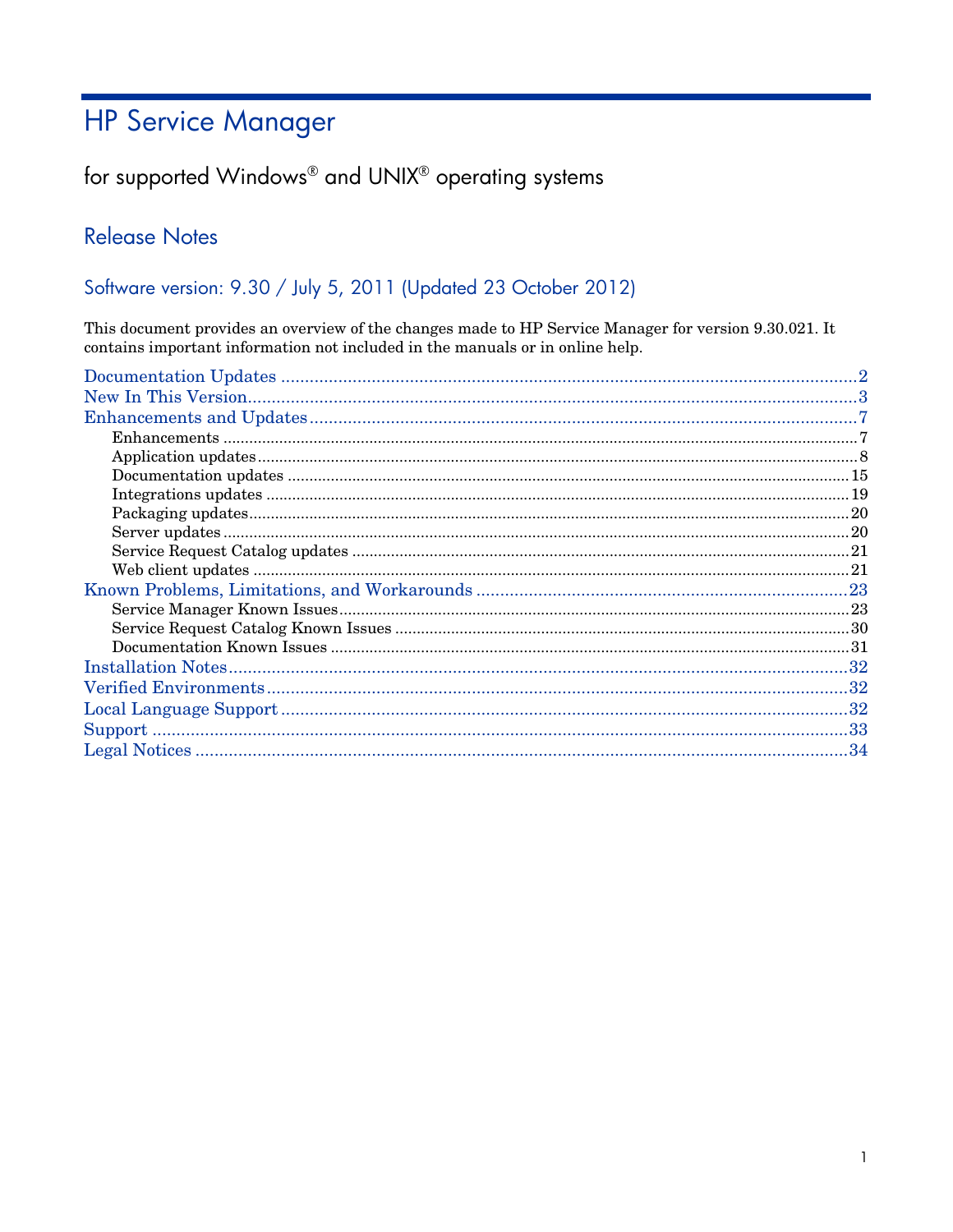# **HP Service Manager**

## for supported Windows® and UNIX® operating systems

### **Release Notes**

### Software version: 9.30 / July 5, 2011 (Updated 23 October 2012)

This document provides an overview of the changes made to HP Service Manager for version 9.30.021. It contains important information not included in the manuals or in online help.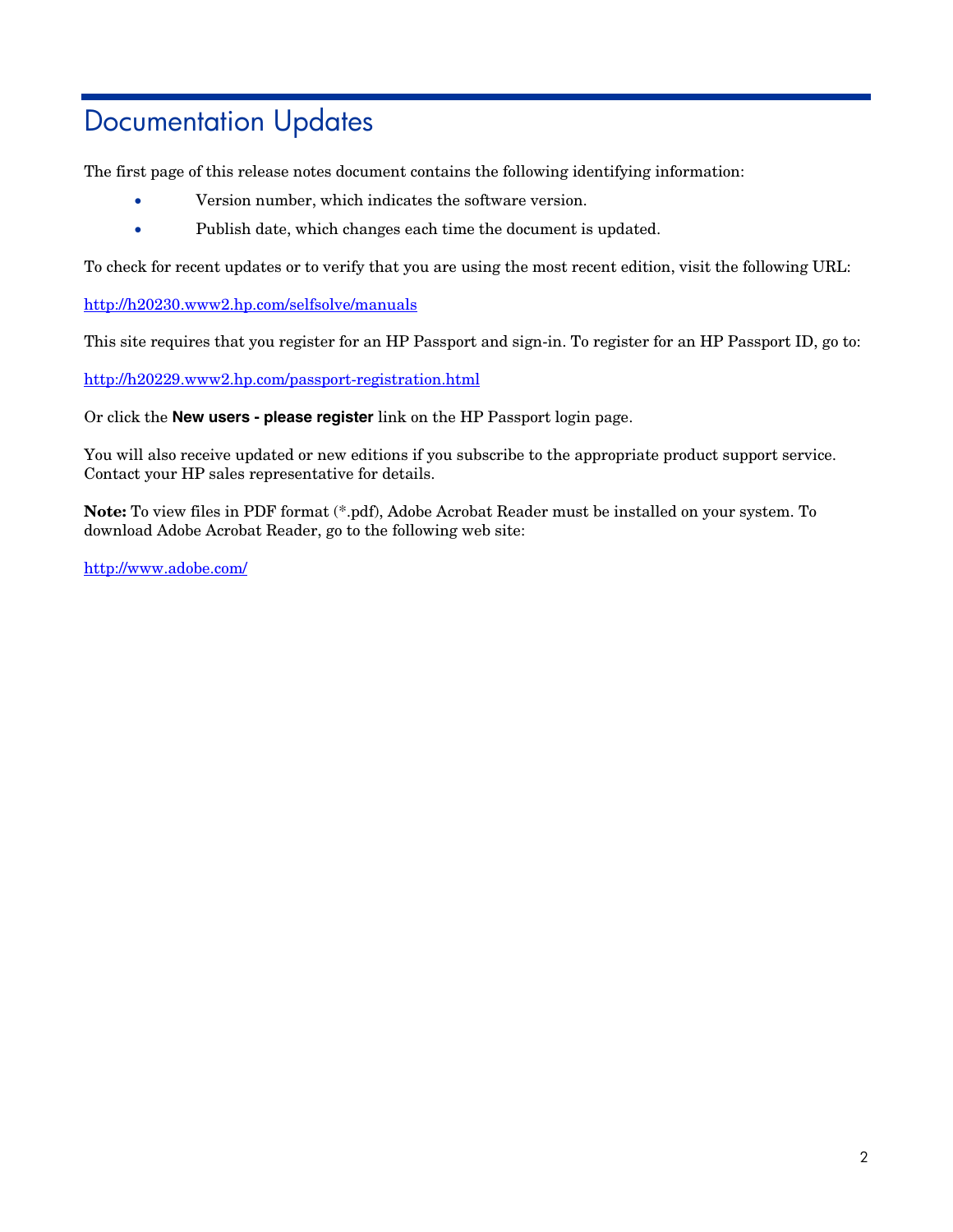# <span id="page-1-0"></span>Documentation Updates

The first page of this release notes document contains the following identifying information:

- Version number, which indicates the software version.
- Publish date, which changes each time the document is updated.

To check for recent updates or to verify that you are using the most recent edition, visit the following URL:

<http://h20230.www2.hp.com/selfsolve/manuals>

This site requires that you register for an HP Passport and sign-in. To register for an HP Passport ID, go to:

<http://h20229.www2.hp.com/passport-registration.html>

Or click the **New users - please register** link on the HP Passport login page.

You will also receive updated or new editions if you subscribe to the appropriate product support service. Contact your HP sales representative for details.

**Note:** To view files in PDF format (\*.pdf), Adobe Acrobat Reader must be installed on your system. To download Adobe Acrobat Reader, go to the following web site:

<http://www.adobe.com/>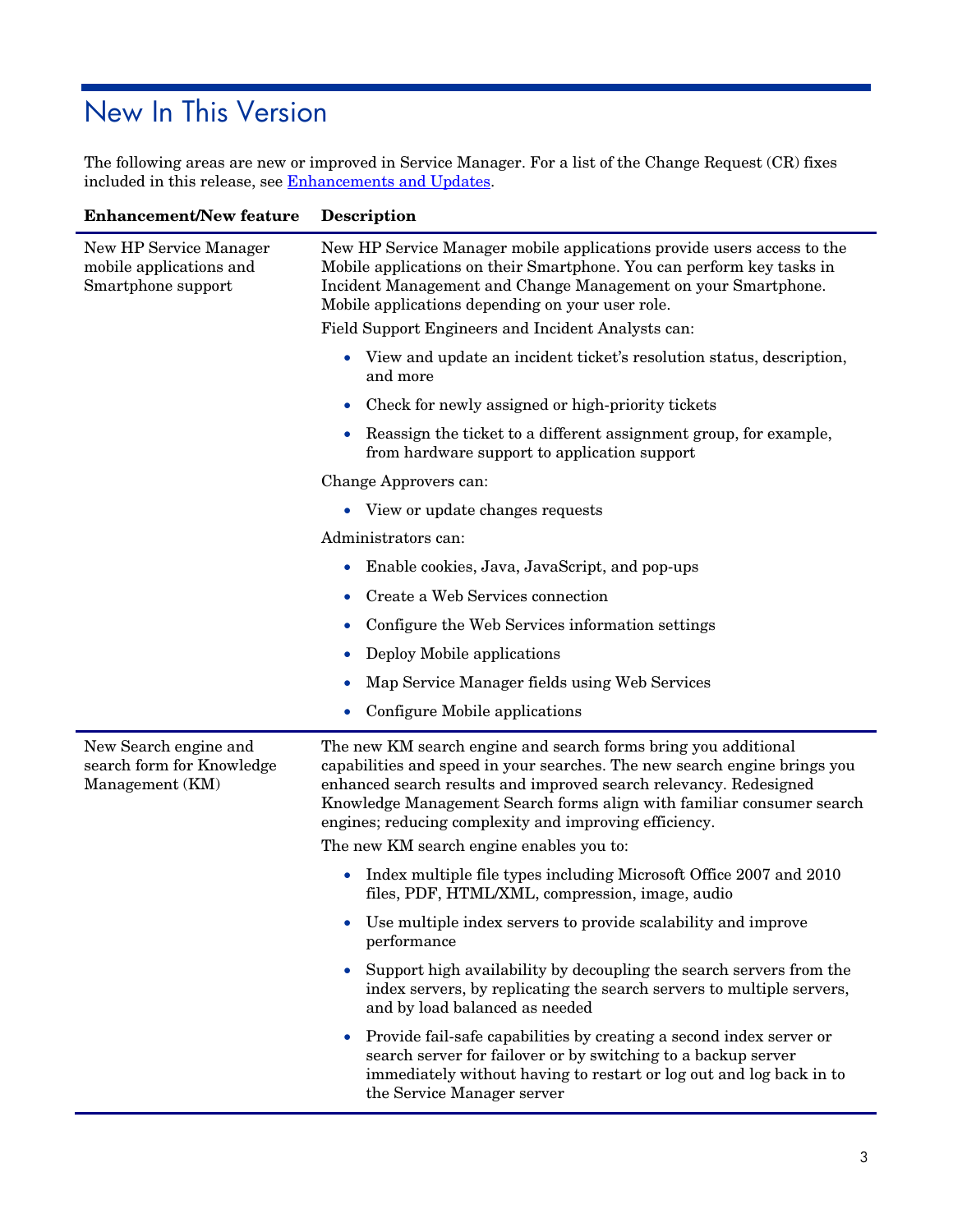# <span id="page-2-0"></span>New In This Version

j.

The following areas are new or improved in Service Manager. For a list of the Change Request (CR) fixes included in this release, see [Enhancements and Updates.](#page-6-0)

| <b>Enhancement/New feature</b>                                          | <b>Description</b>                                                                                                                                                                                                                                                                                                                                  |  |
|-------------------------------------------------------------------------|-----------------------------------------------------------------------------------------------------------------------------------------------------------------------------------------------------------------------------------------------------------------------------------------------------------------------------------------------------|--|
| New HP Service Manager<br>mobile applications and<br>Smartphone support | New HP Service Manager mobile applications provide users access to the<br>Mobile applications on their Smartphone. You can perform key tasks in<br>Incident Management and Change Management on your Smartphone.<br>Mobile applications depending on your user role.<br>Field Support Engineers and Incident Analysts can:                          |  |
|                                                                         | • View and update an incident ticket's resolution status, description,<br>and more                                                                                                                                                                                                                                                                  |  |
|                                                                         | Check for newly assigned or high-priority tickets                                                                                                                                                                                                                                                                                                   |  |
|                                                                         | Reassign the ticket to a different assignment group, for example,<br>from hardware support to application support                                                                                                                                                                                                                                   |  |
|                                                                         | Change Approvers can:                                                                                                                                                                                                                                                                                                                               |  |
|                                                                         | • View or update changes requests                                                                                                                                                                                                                                                                                                                   |  |
|                                                                         | Administrators can:                                                                                                                                                                                                                                                                                                                                 |  |
|                                                                         | Enable cookies, Java, JavaScript, and pop-ups                                                                                                                                                                                                                                                                                                       |  |
|                                                                         | Create a Web Services connection                                                                                                                                                                                                                                                                                                                    |  |
|                                                                         | Configure the Web Services information settings                                                                                                                                                                                                                                                                                                     |  |
|                                                                         | Deploy Mobile applications                                                                                                                                                                                                                                                                                                                          |  |
|                                                                         | Map Service Manager fields using Web Services<br>$\bullet$                                                                                                                                                                                                                                                                                          |  |
|                                                                         | Configure Mobile applications                                                                                                                                                                                                                                                                                                                       |  |
| New Search engine and<br>search form for Knowledge<br>Management (KM)   | The new KM search engine and search forms bring you additional<br>capabilities and speed in your searches. The new search engine brings you<br>enhanced search results and improved search relevancy. Redesigned<br>Knowledge Management Search forms align with familiar consumer search<br>engines; reducing complexity and improving efficiency. |  |
|                                                                         | The new KM search engine enables you to:                                                                                                                                                                                                                                                                                                            |  |
|                                                                         | Index multiple file types including Microsoft Office 2007 and 2010<br>files, PDF, HTML/XML, compression, image, audio                                                                                                                                                                                                                               |  |
|                                                                         | Use multiple index servers to provide scalability and improve<br>performance                                                                                                                                                                                                                                                                        |  |
|                                                                         | Support high availability by decoupling the search servers from the<br>index servers, by replicating the search servers to multiple servers,<br>and by load balanced as needed                                                                                                                                                                      |  |
|                                                                         | Provide fail-safe capabilities by creating a second index server or<br>search server for failover or by switching to a backup server<br>immediately without having to restart or log out and log back in to<br>the Service Manager server                                                                                                           |  |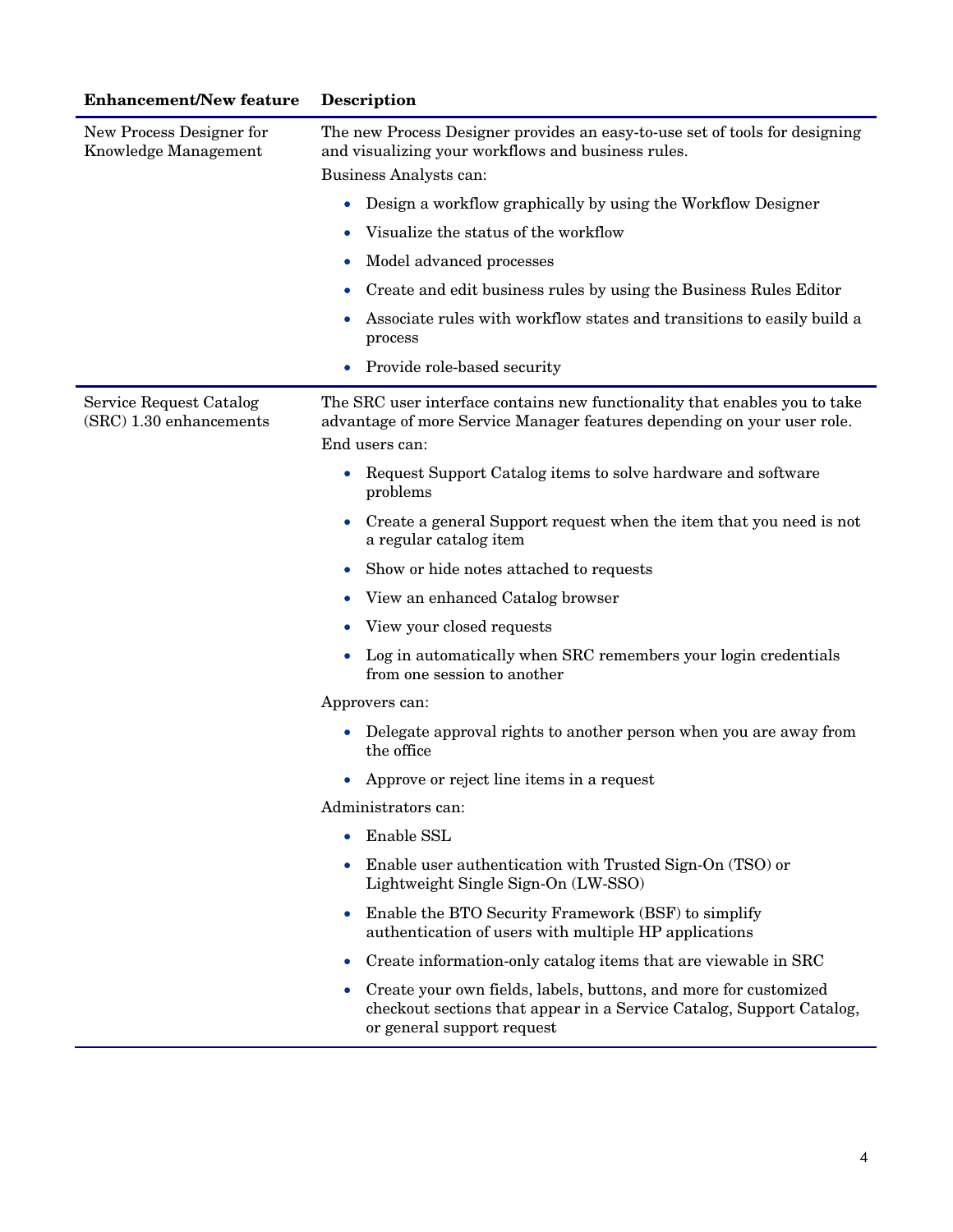| <b>Enhancement/New feature</b>                     | <b>Description</b>                                                                                                                                                      |  |
|----------------------------------------------------|-------------------------------------------------------------------------------------------------------------------------------------------------------------------------|--|
| New Process Designer for<br>Knowledge Management   | The new Process Designer provides an easy-to-use set of tools for designing<br>and visualizing your workflows and business rules.                                       |  |
|                                                    | Business Analysts can:                                                                                                                                                  |  |
|                                                    | Design a workflow graphically by using the Workflow Designer<br>$\bullet$                                                                                               |  |
|                                                    | Visualize the status of the workflow                                                                                                                                    |  |
|                                                    | Model advanced processes<br>0                                                                                                                                           |  |
|                                                    | Create and edit business rules by using the Business Rules Editor<br>0                                                                                                  |  |
|                                                    | Associate rules with workflow states and transitions to easily build a<br>process                                                                                       |  |
|                                                    | Provide role-based security<br>$\bullet$                                                                                                                                |  |
| Service Request Catalog<br>(SRC) 1.30 enhancements | The SRC user interface contains new functionality that enables you to take<br>advantage of more Service Manager features depending on your user role.<br>End users can: |  |
|                                                    | Request Support Catalog items to solve hardware and software<br>۰<br>problems                                                                                           |  |
|                                                    | Create a general Support request when the item that you need is not<br>$\bullet$<br>a regular catalog item                                                              |  |
|                                                    | Show or hide notes attached to requests                                                                                                                                 |  |
|                                                    | View an enhanced Catalog browser<br>0                                                                                                                                   |  |
|                                                    | View your closed requests<br>0                                                                                                                                          |  |
|                                                    | Log in automatically when SRC remembers your login credentials<br>$\bullet$<br>from one session to another                                                              |  |
|                                                    | Approvers can:                                                                                                                                                          |  |
|                                                    | Delegate approval rights to another person when you are away from<br>the office                                                                                         |  |
|                                                    | Approve or reject line items in a request<br>$\bullet$                                                                                                                  |  |
|                                                    | Administrators can:                                                                                                                                                     |  |
|                                                    | Enable SSL<br>$\bullet$                                                                                                                                                 |  |
|                                                    | Enable user authentication with Trusted Sign-On (TSO) or<br>Lightweight Single Sign-On (LW-SSO)                                                                         |  |
|                                                    | Enable the BTO Security Framework (BSF) to simplify<br>$\bullet$<br>authentication of users with multiple HP applications                                               |  |
|                                                    | Create information-only catalog items that are viewable in SRC<br>$\bullet$                                                                                             |  |
|                                                    | Create your own fields, labels, buttons, and more for customized<br>checkout sections that appear in a Service Catalog, Support Catalog,<br>or general support request  |  |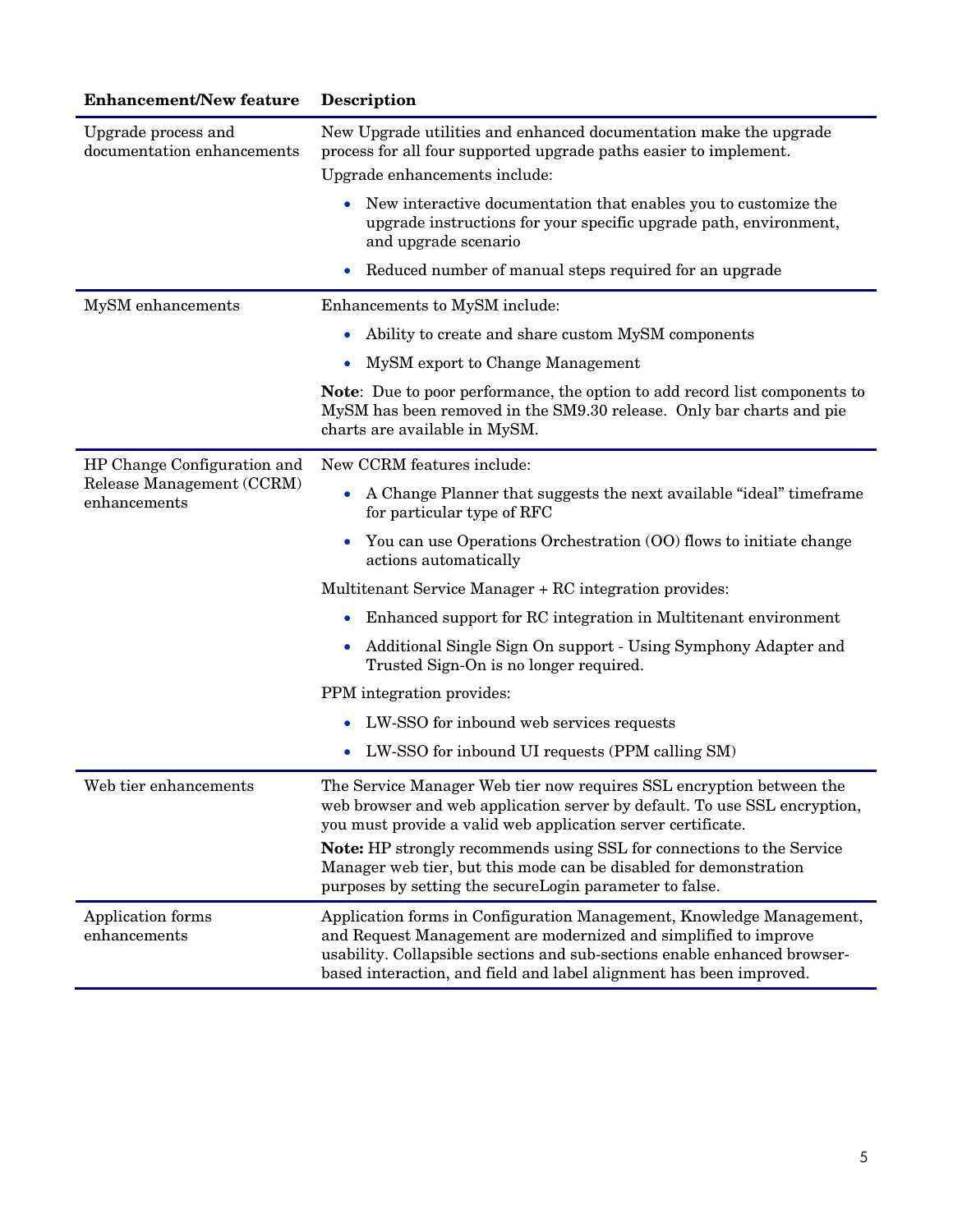| <b>Enhancement/New feature</b>                    | <b>Description</b>                                                                                                                                                                                                                                                                                                                                                                                                         |  |
|---------------------------------------------------|----------------------------------------------------------------------------------------------------------------------------------------------------------------------------------------------------------------------------------------------------------------------------------------------------------------------------------------------------------------------------------------------------------------------------|--|
| Upgrade process and<br>documentation enhancements | New Upgrade utilities and enhanced documentation make the upgrade<br>process for all four supported upgrade paths easier to implement.<br>Upgrade enhancements include:                                                                                                                                                                                                                                                    |  |
|                                                   | New interactive documentation that enables you to customize the<br>upgrade instructions for your specific upgrade path, environment,<br>and upgrade scenario                                                                                                                                                                                                                                                               |  |
|                                                   | Reduced number of manual steps required for an upgrade<br>$\bullet$                                                                                                                                                                                                                                                                                                                                                        |  |
| MySM enhancements                                 | Enhancements to MySM include:                                                                                                                                                                                                                                                                                                                                                                                              |  |
|                                                   | Ability to create and share custom MySM components                                                                                                                                                                                                                                                                                                                                                                         |  |
|                                                   | MySM export to Change Management<br>$\bullet$                                                                                                                                                                                                                                                                                                                                                                              |  |
|                                                   | Note: Due to poor performance, the option to add record list components to<br>MySM has been removed in the SM9.30 release. Only bar charts and pie<br>charts are available in MySM.                                                                                                                                                                                                                                        |  |
| HP Change Configuration and                       | New CCRM features include:                                                                                                                                                                                                                                                                                                                                                                                                 |  |
| Release Management (CCRM)<br>enhancements         | A Change Planner that suggests the next available "ideal" time frame<br>for particular type of RFC                                                                                                                                                                                                                                                                                                                         |  |
|                                                   | You can use Operations Orchestration (OO) flows to initiate change<br>$\bullet$<br>actions automatically                                                                                                                                                                                                                                                                                                                   |  |
|                                                   | Multitenant Service Manager + RC integration provides:                                                                                                                                                                                                                                                                                                                                                                     |  |
|                                                   | Enhanced support for RC integration in Multitenant environment<br>$\bullet$                                                                                                                                                                                                                                                                                                                                                |  |
|                                                   | Additional Single Sign On support - Using Symphony Adapter and<br>$\bullet$<br>Trusted Sign-On is no longer required.                                                                                                                                                                                                                                                                                                      |  |
|                                                   | PPM integration provides:                                                                                                                                                                                                                                                                                                                                                                                                  |  |
|                                                   | LW-SSO for inbound web services requests<br>$\bullet$                                                                                                                                                                                                                                                                                                                                                                      |  |
|                                                   | LW-SSO for inbound UI requests (PPM calling SM)<br>$\bullet$                                                                                                                                                                                                                                                                                                                                                               |  |
| Web tier enhancements                             | The Service Manager Web tier now requires SSL encryption between the<br>web browser and web application server by default. To use SSL encryption,<br>you must provide a valid web application server certificate.<br>Note: HP strongly recommends using SSL for connections to the Service<br>Manager web tier, but this mode can be disabled for demonstration<br>purposes by setting the secureLogin parameter to false. |  |
| Application forms<br>enhancements                 | Application forms in Configuration Management, Knowledge Management,<br>and Request Management are modernized and simplified to improve<br>usability. Collapsible sections and sub-sections enable enhanced browser-<br>based interaction, and field and label alignment has been improved.                                                                                                                                |  |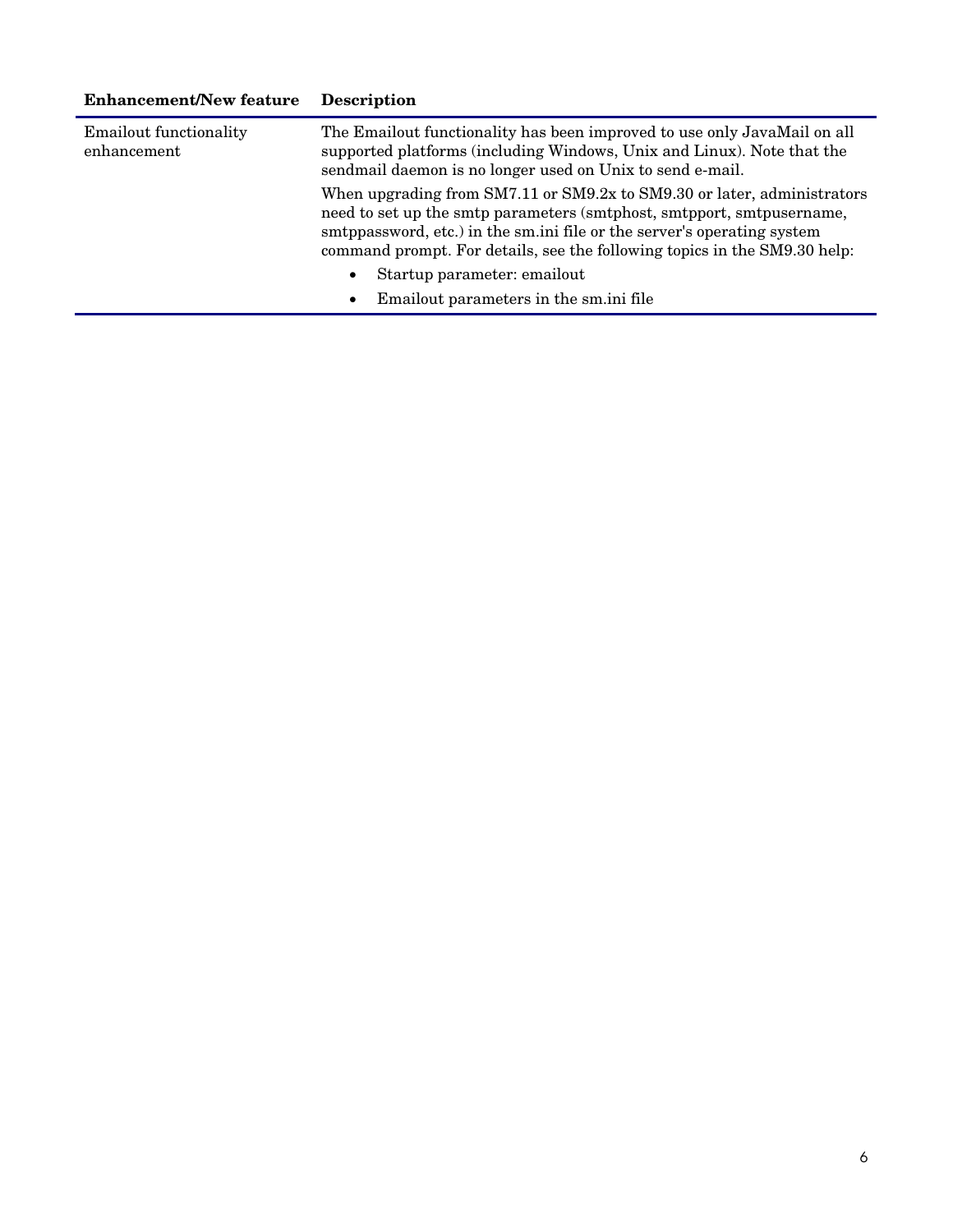### **Enhancement/New feature Description**

| <b>Emailout</b> functionality<br>enhancement | The Emailout functionality has been improved to use only JavaMail on all<br>supported platforms (including Windows, Unix and Linux). Note that the<br>sendmail daemon is no longer used on Unix to send e-mail.                                                                                                |  |
|----------------------------------------------|----------------------------------------------------------------------------------------------------------------------------------------------------------------------------------------------------------------------------------------------------------------------------------------------------------------|--|
| $\bullet$                                    | When upgrading from $SM7.11$ or $SM9.2x$ to $SM9.30$ or later, administrators<br>need to set up the smtp parameters (smtphost, smtpport, smtpusername,<br>smtppassword, etc.) in the sm. in file or the server's operating system<br>command prompt. For details, see the following topics in the SM9.30 help: |  |
|                                              | Startup parameter: emailout                                                                                                                                                                                                                                                                                    |  |
|                                              | Emailout parameters in the sm.ini file<br>٠                                                                                                                                                                                                                                                                    |  |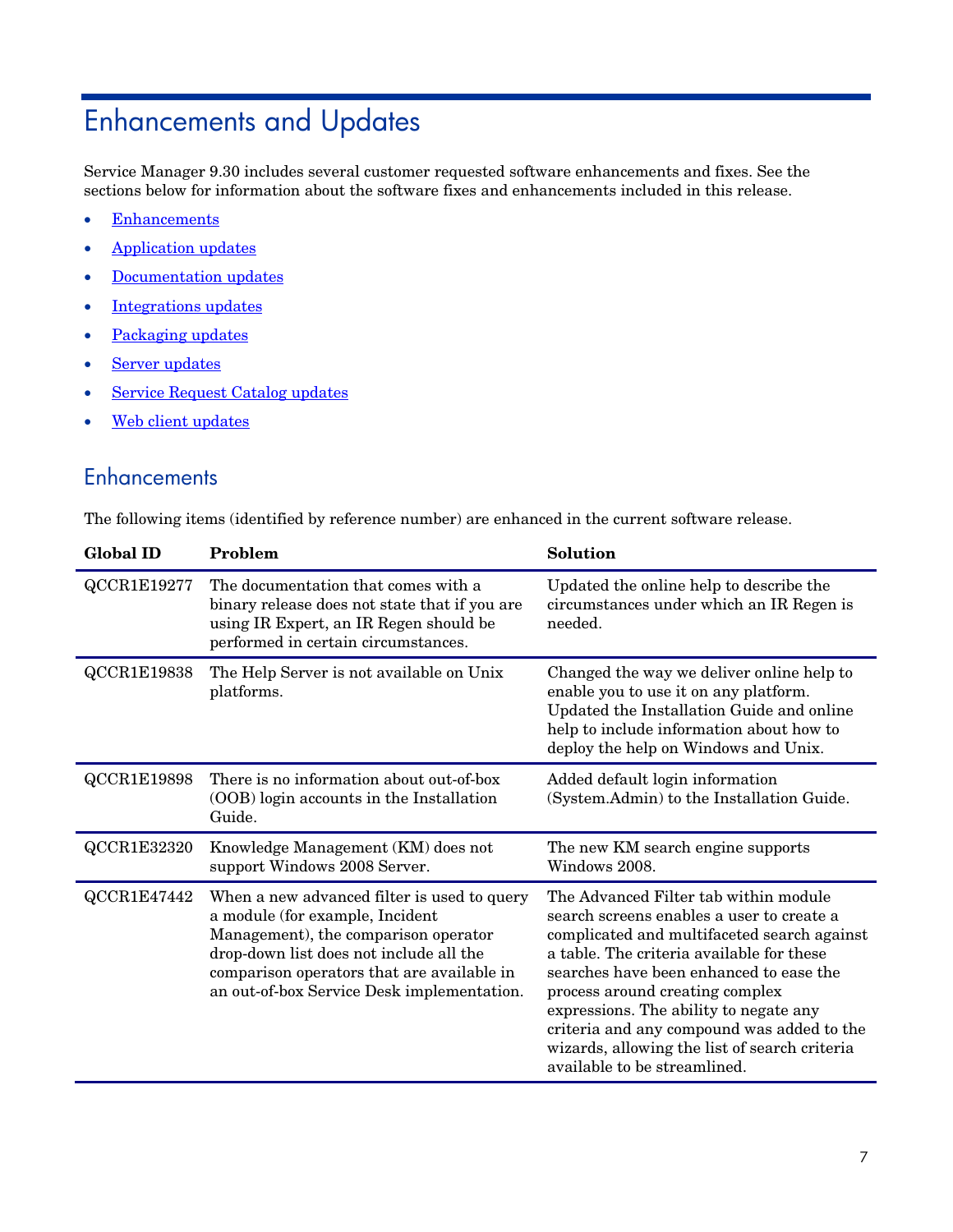# <span id="page-6-0"></span>Enhancements and Updates

Service Manager 9.30 includes several customer requested software enhancements and fixes. See the sections below for information about the software fixes and enhancements included in this release.

- [Enhancements](#page-6-1)
- [Application updates](#page-7-0)
- [Documentation updates](#page-14-0)
- [Integrations updates](#page-18-0)
- [Packaging updates](#page-19-0)
- [Server updates](#page-19-1)
- [Service Request Catalog](#page-20-0) updates
- [Web client updates](#page-20-1)

### <span id="page-6-1"></span>**Enhancements**

| <b>Global ID</b>   | Problem                                                                                                                                                                                                                                                       | Solution                                                                                                                                                                                                                                                                                                                                                                                                                              |
|--------------------|---------------------------------------------------------------------------------------------------------------------------------------------------------------------------------------------------------------------------------------------------------------|---------------------------------------------------------------------------------------------------------------------------------------------------------------------------------------------------------------------------------------------------------------------------------------------------------------------------------------------------------------------------------------------------------------------------------------|
| QCCR1E19277        | The documentation that comes with a<br>binary release does not state that if you are<br>using IR Expert, an IR Regen should be<br>performed in certain circumstances.                                                                                         | Updated the online help to describe the<br>circumstances under which an IR Regen is<br>needed.                                                                                                                                                                                                                                                                                                                                        |
| QCCR1E19838        | The Help Server is not available on Unix<br>platforms.                                                                                                                                                                                                        | Changed the way we deliver online help to<br>enable you to use it on any platform.<br>Updated the Installation Guide and online<br>help to include information about how to<br>deploy the help on Windows and Unix.                                                                                                                                                                                                                   |
| <b>QCCR1E19898</b> | There is no information about out-of-box<br>(OOB) login accounts in the Installation<br>Guide.                                                                                                                                                                | Added default login information<br>(System.Admin) to the Installation Guide.                                                                                                                                                                                                                                                                                                                                                          |
| QCCR1E32320        | Knowledge Management (KM) does not<br>support Windows 2008 Server.                                                                                                                                                                                            | The new KM search engine supports<br>Windows 2008.                                                                                                                                                                                                                                                                                                                                                                                    |
| QCCR1E47442        | When a new advanced filter is used to query<br>a module (for example, Incident<br>Management), the comparison operator<br>drop-down list does not include all the<br>comparison operators that are available in<br>an out-of-box Service Desk implementation. | The Advanced Filter tab within module<br>search screens enables a user to create a<br>complicated and multifaceted search against<br>a table. The criteria available for these<br>searches have been enhanced to ease the<br>process around creating complex<br>expressions. The ability to negate any<br>criteria and any compound was added to the<br>wizards, allowing the list of search criteria<br>available to be streamlined. |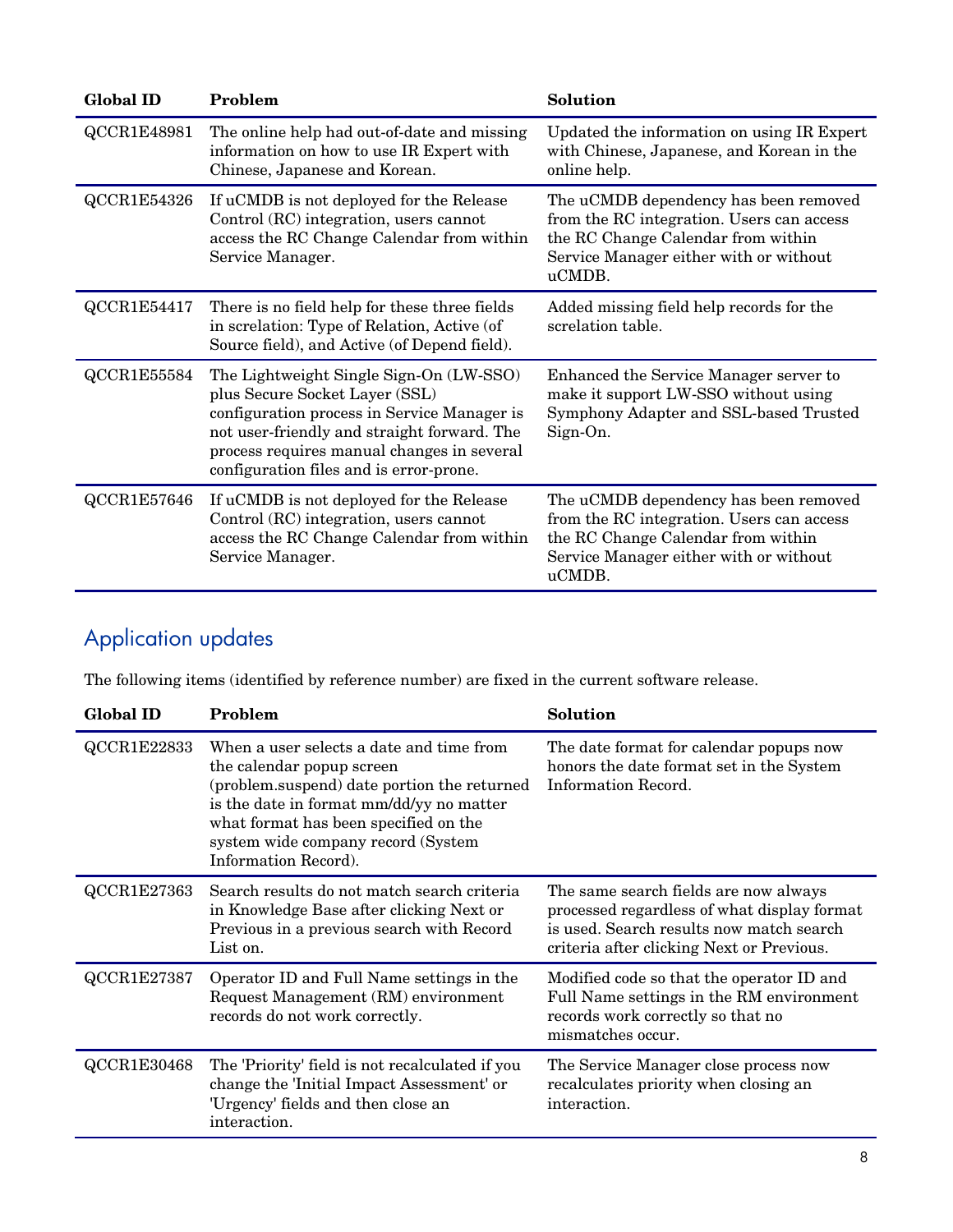| <b>Global ID</b>   | Problem                                                                                                                                                                                                                                                          | Solution                                                                                                                                                                     |
|--------------------|------------------------------------------------------------------------------------------------------------------------------------------------------------------------------------------------------------------------------------------------------------------|------------------------------------------------------------------------------------------------------------------------------------------------------------------------------|
| <b>QCCR1E48981</b> | The online help had out-of-date and missing<br>information on how to use IR Expert with<br>Chinese, Japanese and Korean.                                                                                                                                         | Updated the information on using IR Expert<br>with Chinese, Japanese, and Korean in the<br>online help.                                                                      |
| QCCR1E54326        | If uCMDB is not deployed for the Release<br>Control (RC) integration, users cannot<br>access the RC Change Calendar from within<br>Service Manager.                                                                                                              | The uCMDB dependency has been removed<br>from the RC integration. Users can access<br>the RC Change Calendar from within<br>Service Manager either with or without<br>uCMDB. |
| QCCR1E54417        | There is no field help for these three fields<br>in screlation: Type of Relation, Active (of<br>Source field), and Active (of Depend field).                                                                                                                     | Added missing field help records for the<br>screlation table.                                                                                                                |
| QCCR1E55584        | The Lightweight Single Sign-On (LW-SSO)<br>plus Secure Socket Layer (SSL)<br>configuration process in Service Manager is<br>not user-friendly and straight forward. The<br>process requires manual changes in several<br>configuration files and is error-prone. | Enhanced the Service Manager server to<br>make it support LW-SSO without using<br>Symphony Adapter and SSL-based Trusted<br>Sign-On.                                         |
| QCCR1E57646        | If uCMDB is not deployed for the Release<br>Control (RC) integration, users cannot<br>access the RC Change Calendar from within<br>Service Manager.                                                                                                              | The uCMDB dependency has been removed<br>from the RC integration. Users can access<br>the RC Change Calendar from within<br>Service Manager either with or without<br>uCMDB. |

# <span id="page-7-0"></span>Application updates

| <b>Global ID</b>   | Problem                                                                                                                                                                                                                                                                 | Solution                                                                                                                                                                      |
|--------------------|-------------------------------------------------------------------------------------------------------------------------------------------------------------------------------------------------------------------------------------------------------------------------|-------------------------------------------------------------------------------------------------------------------------------------------------------------------------------|
| QCCR1E22833        | When a user selects a date and time from<br>the calendar popup screen<br>(problem.suspend) date portion the returned<br>is the date in format mm/dd/yy no matter<br>what format has been specified on the<br>system wide company record (System<br>Information Record). | The date format for calendar popups now<br>honors the date format set in the System<br>Information Record.                                                                    |
| QCCR1E27363        | Search results do not match search criteria<br>in Knowledge Base after clicking Next or<br>Previous in a previous search with Record<br>List on.                                                                                                                        | The same search fields are now always<br>processed regardless of what display format<br>is used. Search results now match search<br>criteria after clicking Next or Previous. |
| QCCR1E27387        | Operator ID and Full Name settings in the<br>Request Management (RM) environment<br>records do not work correctly.                                                                                                                                                      | Modified code so that the operator ID and<br>Full Name settings in the RM environment<br>records work correctly so that no<br>mismatches occur.                               |
| <b>QCCR1E30468</b> | The 'Priority' field is not recalculated if you<br>change the 'Initial Impact Assessment' or<br>'Urgency' fields and then close an<br>interaction.                                                                                                                      | The Service Manager close process now<br>recalculates priority when closing an<br>interaction.                                                                                |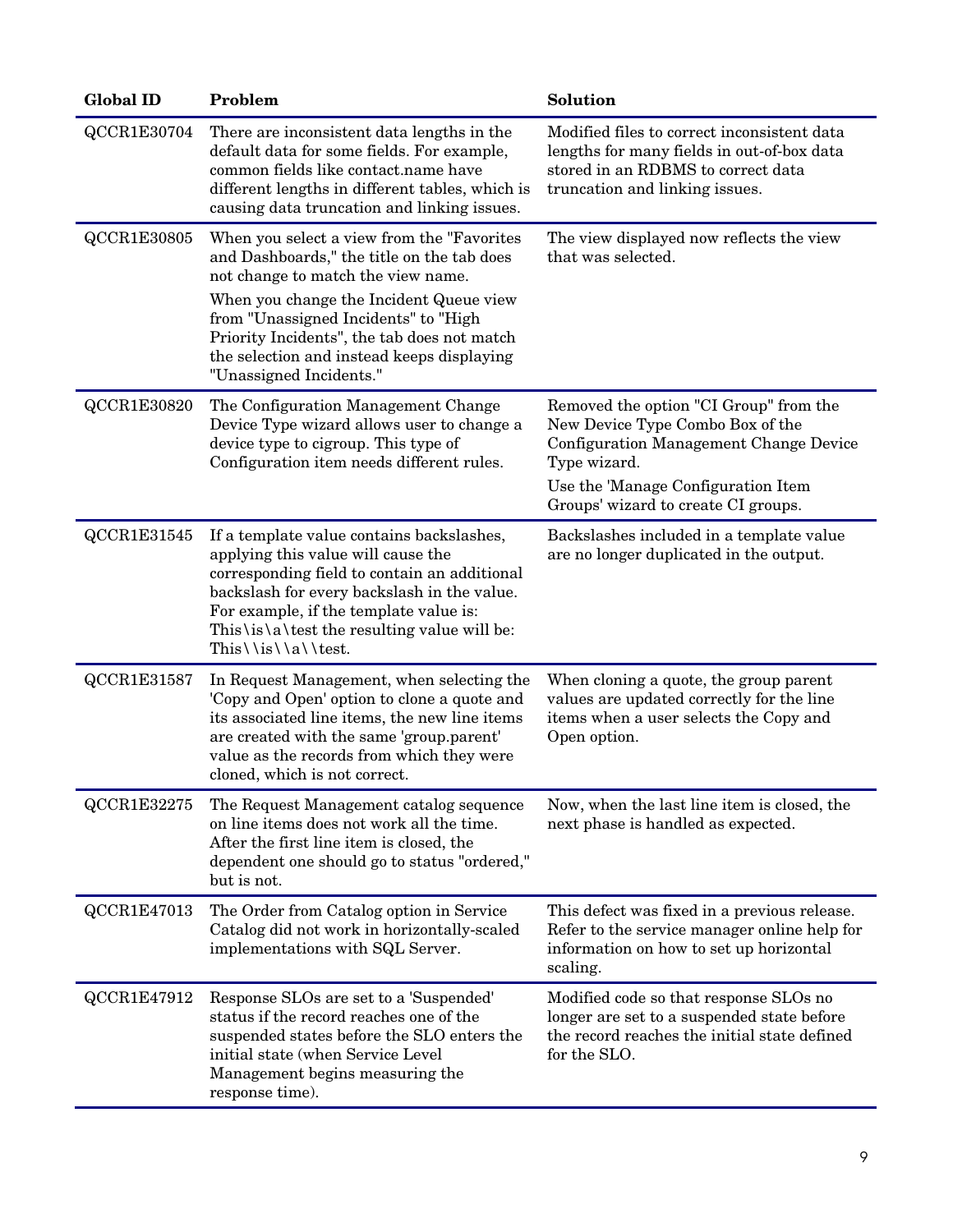| <b>Global ID</b> | Problem                                                                                                                                                                                                                                                                                                                                    | Solution                                                                                                                                                                                                          |
|------------------|--------------------------------------------------------------------------------------------------------------------------------------------------------------------------------------------------------------------------------------------------------------------------------------------------------------------------------------------|-------------------------------------------------------------------------------------------------------------------------------------------------------------------------------------------------------------------|
| QCCR1E30704      | There are inconsistent data lengths in the<br>default data for some fields. For example,<br>common fields like contact.name have<br>different lengths in different tables, which is<br>causing data truncation and linking issues.                                                                                                         | Modified files to correct inconsistent data<br>lengths for many fields in out-of-box data<br>stored in an RDBMS to correct data<br>truncation and linking issues.                                                 |
| QCCR1E30805      | When you select a view from the "Favorites"<br>and Dashboards," the title on the tab does<br>not change to match the view name.<br>When you change the Incident Queue view<br>from "Unassigned Incidents" to "High<br>Priority Incidents", the tab does not match<br>the selection and instead keeps displaying<br>"Unassigned Incidents." | The view displayed now reflects the view<br>that was selected.                                                                                                                                                    |
| QCCR1E30820      | The Configuration Management Change<br>Device Type wizard allows user to change a<br>device type to cigroup. This type of<br>Configuration item needs different rules.                                                                                                                                                                     | Removed the option "CI Group" from the<br>New Device Type Combo Box of the<br>Configuration Management Change Device<br>Type wizard.<br>Use the 'Manage Configuration Item<br>Groups' wizard to create CI groups. |
| QCCR1E31545      | If a template value contains backslashes,<br>applying this value will cause the<br>corresponding field to contain an additional<br>backslash for every backslash in the value.<br>For example, if the template value is:<br>This \is \a \test the resulting value will be:<br>$This \is \langle \ak \test.$                                | Backslashes included in a template value<br>are no longer duplicated in the output.                                                                                                                               |
| QCCR1E31587      | In Request Management, when selecting the<br>'Copy and Open' option to clone a quote and<br>its associated line items, the new line items<br>are created with the same 'group.parent'<br>value as the records from which they were<br>cloned, which is not correct.                                                                        | When cloning a quote, the group parent<br>values are updated correctly for the line<br>items when a user selects the Copy and<br>Open option.                                                                     |
| QCCR1E32275      | The Request Management catalog sequence<br>on line items does not work all the time.<br>After the first line item is closed, the<br>dependent one should go to status "ordered,"<br>but is not.                                                                                                                                            | Now, when the last line item is closed, the<br>next phase is handled as expected.                                                                                                                                 |
| QCCR1E47013      | The Order from Catalog option in Service<br>Catalog did not work in horizontally-scaled<br>implementations with SQL Server.                                                                                                                                                                                                                | This defect was fixed in a previous release.<br>Refer to the service manager online help for<br>information on how to set up horizontal<br>scaling.                                                               |
| QCCR1E47912      | Response SLOs are set to a 'Suspended'<br>status if the record reaches one of the<br>suspended states before the SLO enters the<br>initial state (when Service Level<br>Management begins measuring the<br>response time).                                                                                                                 | Modified code so that response SLOs no<br>longer are set to a suspended state before<br>the record reaches the initial state defined<br>for the SLO.                                                              |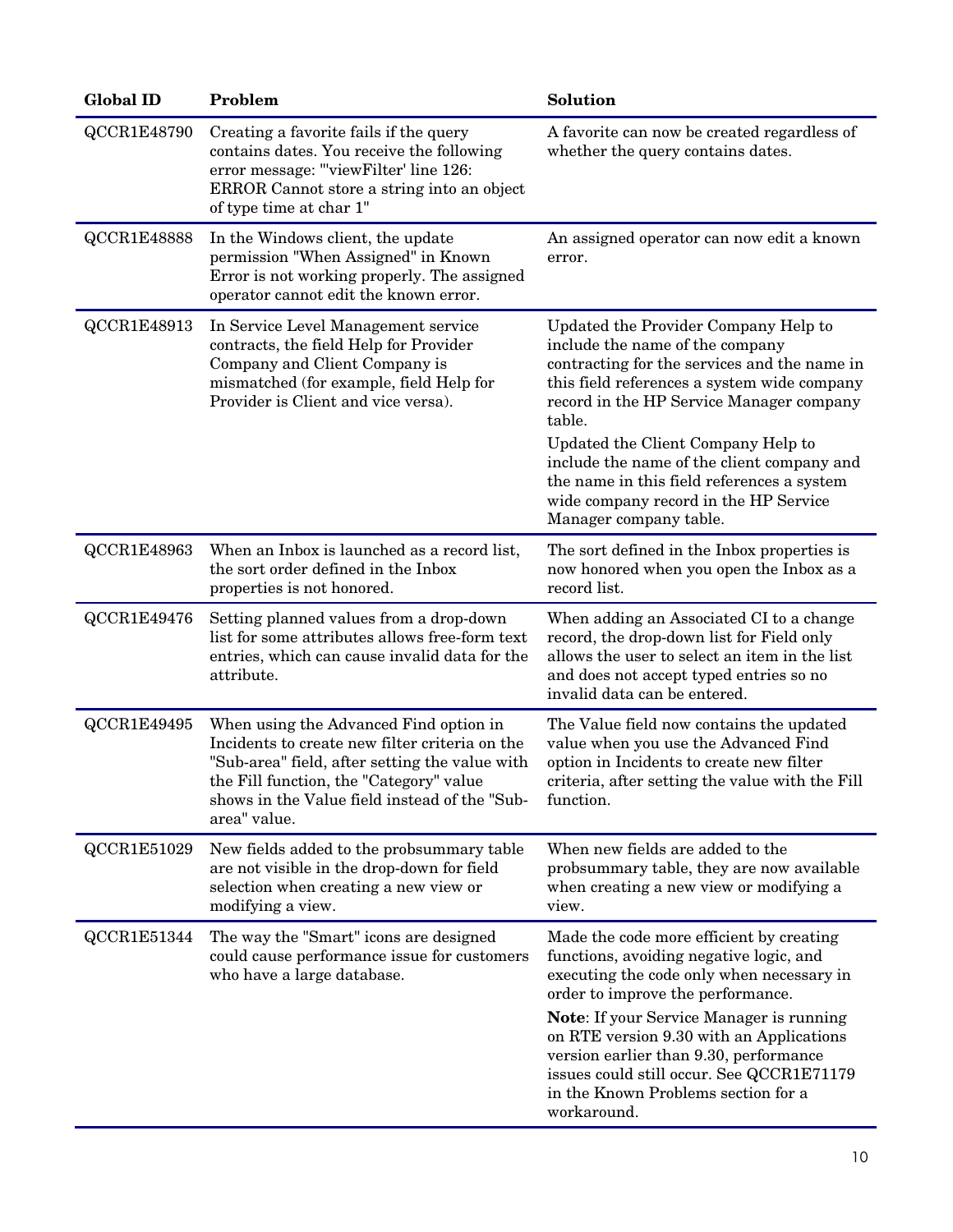| <b>Global ID</b>   | Problem                                                                                                                                                                                                                                                | Solution                                                                                                                                                                                                                                 |
|--------------------|--------------------------------------------------------------------------------------------------------------------------------------------------------------------------------------------------------------------------------------------------------|------------------------------------------------------------------------------------------------------------------------------------------------------------------------------------------------------------------------------------------|
| QCCR1E48790        | Creating a favorite fails if the query<br>contains dates. You receive the following<br>error message: "'viewFilter' line 126:<br>ERROR Cannot store a string into an object<br>of type time at char 1"                                                 | A favorite can now be created regardless of<br>whether the query contains dates.                                                                                                                                                         |
| <b>QCCR1E48888</b> | In the Windows client, the update<br>permission "When Assigned" in Known<br>Error is not working properly. The assigned<br>operator cannot edit the known error.                                                                                       | An assigned operator can now edit a known<br>error.                                                                                                                                                                                      |
| QCCR1E48913        | In Service Level Management service<br>contracts, the field Help for Provider<br>Company and Client Company is<br>mismatched (for example, field Help for<br>Provider is Client and vice versa).                                                       | Updated the Provider Company Help to<br>include the name of the company<br>contracting for the services and the name in<br>this field references a system wide company<br>record in the HP Service Manager company<br>table.             |
|                    |                                                                                                                                                                                                                                                        | Updated the Client Company Help to<br>include the name of the client company and<br>the name in this field references a system<br>wide company record in the HP Service<br>Manager company table.                                        |
| QCCR1E48963        | When an Inbox is launched as a record list,<br>the sort order defined in the Inbox<br>properties is not honored.                                                                                                                                       | The sort defined in the Inbox properties is<br>now honored when you open the Inbox as a<br>record list.                                                                                                                                  |
| QCCR1E49476        | Setting planned values from a drop-down<br>list for some attributes allows free-form text<br>entries, which can cause invalid data for the<br>attribute.                                                                                               | When adding an Associated CI to a change<br>record, the drop-down list for Field only<br>allows the user to select an item in the list<br>and does not accept typed entries so no<br>invalid data can be entered.                        |
| QCCR1E49495        | When using the Advanced Find option in<br>Incidents to create new filter criteria on the<br>"Sub-area" field, after setting the value with<br>the Fill function, the "Category" value<br>shows in the Value field instead of the "Sub-<br>area" value. | The Value field now contains the updated<br>value when you use the Advanced Find<br>option in Incidents to create new filter<br>criteria, after setting the value with the Fill<br>function.                                             |
| QCCR1E51029        | New fields added to the probsummary table<br>are not visible in the drop-down for field<br>selection when creating a new view or<br>modifying a view.                                                                                                  | When new fields are added to the<br>probsummary table, they are now available<br>when creating a new view or modifying a<br>view.                                                                                                        |
| QCCR1E51344        | The way the "Smart" icons are designed<br>could cause performance issue for customers<br>who have a large database.                                                                                                                                    | Made the code more efficient by creating<br>functions, avoiding negative logic, and<br>executing the code only when necessary in<br>order to improve the performance.                                                                    |
|                    |                                                                                                                                                                                                                                                        | <b>Note:</b> If your Service Manager is running<br>on RTE version 9.30 with an Applications<br>version earlier than 9.30, performance<br>issues could still occur. See QCCR1E71179<br>in the Known Problems section for a<br>workaround. |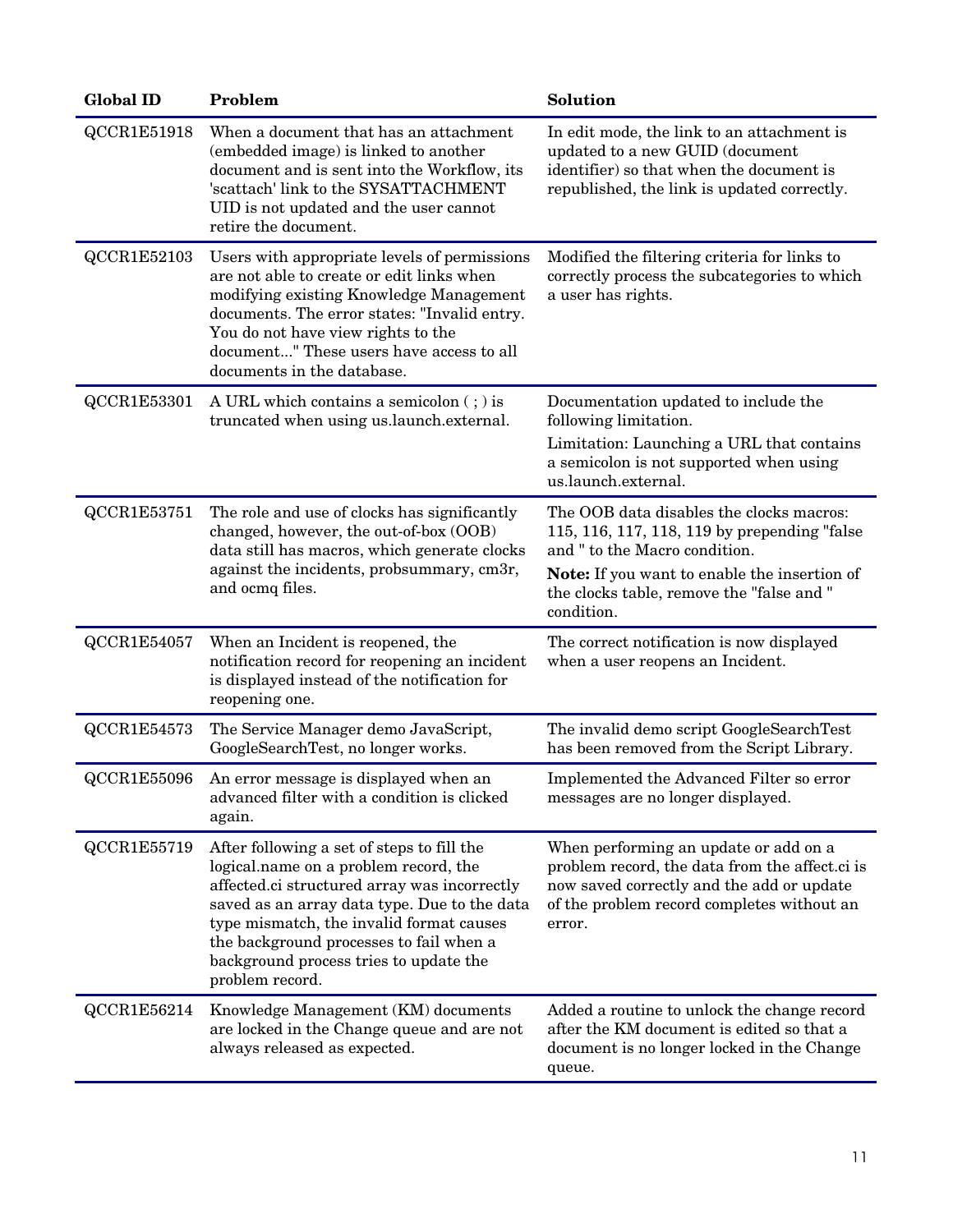| <b>Global ID</b> | Problem                                                                                                                                                                                                                                                                                                                                 | Solution                                                                                                                                                                                                                             |
|------------------|-----------------------------------------------------------------------------------------------------------------------------------------------------------------------------------------------------------------------------------------------------------------------------------------------------------------------------------------|--------------------------------------------------------------------------------------------------------------------------------------------------------------------------------------------------------------------------------------|
| QCCR1E51918      | When a document that has an attachment<br>(embedded image) is linked to another<br>document and is sent into the Workflow, its<br>'scattach' link to the SYSATTACHMENT<br>UID is not updated and the user cannot<br>retire the document.                                                                                                | In edit mode, the link to an attachment is<br>updated to a new GUID (document<br>identifier) so that when the document is<br>republished, the link is updated correctly.                                                             |
| QCCR1E52103      | Users with appropriate levels of permissions<br>are not able to create or edit links when<br>modifying existing Knowledge Management<br>documents. The error states: "Invalid entry.<br>You do not have view rights to the<br>document" These users have access to all<br>documents in the database.                                    | Modified the filtering criteria for links to<br>correctly process the subcategories to which<br>a user has rights.                                                                                                                   |
| QCCR1E53301      | A URL which contains a semicolon (; ) is<br>truncated when using us.launch.external.                                                                                                                                                                                                                                                    | Documentation updated to include the<br>following limitation.<br>Limitation: Launching a URL that contains<br>a semicolon is not supported when using<br>us.launch.external.                                                         |
| QCCR1E53751      | The role and use of clocks has significantly<br>changed, however, the out-of-box (OOB)<br>data still has macros, which generate clocks<br>against the incidents, probsummary, cm3r,<br>and ocmq files.                                                                                                                                  | The OOB data disables the clocks macros:<br>115, 116, 117, 118, 119 by prepending "false<br>and " to the Macro condition.<br>Note: If you want to enable the insertion of<br>the clocks table, remove the "false and "<br>condition. |
| QCCR1E54057      | When an Incident is reopened, the<br>notification record for reopening an incident<br>is displayed instead of the notification for<br>reopening one.                                                                                                                                                                                    | The correct notification is now displayed<br>when a user reopens an Incident.                                                                                                                                                        |
| QCCR1E54573      | The Service Manager demo JavaScript,<br>GoogleSearchTest, no longer works.                                                                                                                                                                                                                                                              | The invalid demo script GoogleSearchTest<br>has been removed from the Script Library.                                                                                                                                                |
| QCCR1E55096      | An error message is displayed when an<br>advanced filter with a condition is clicked<br>again.                                                                                                                                                                                                                                          | Implemented the Advanced Filter so error<br>messages are no longer displayed.                                                                                                                                                        |
| QCCR1E55719      | After following a set of steps to fill the<br>logical.name on a problem record, the<br>affected.ci structured array was incorrectly<br>saved as an array data type. Due to the data<br>type mismatch, the invalid format causes<br>the background processes to fail when a<br>background process tries to update the<br>problem record. | When performing an update or add on a<br>problem record, the data from the affect.ci is<br>now saved correctly and the add or update<br>of the problem record completes without an<br>error.                                         |
| QCCR1E56214      | Knowledge Management (KM) documents<br>are locked in the Change queue and are not<br>always released as expected.                                                                                                                                                                                                                       | Added a routine to unlock the change record<br>after the KM document is edited so that a<br>document is no longer locked in the Change<br>queue.                                                                                     |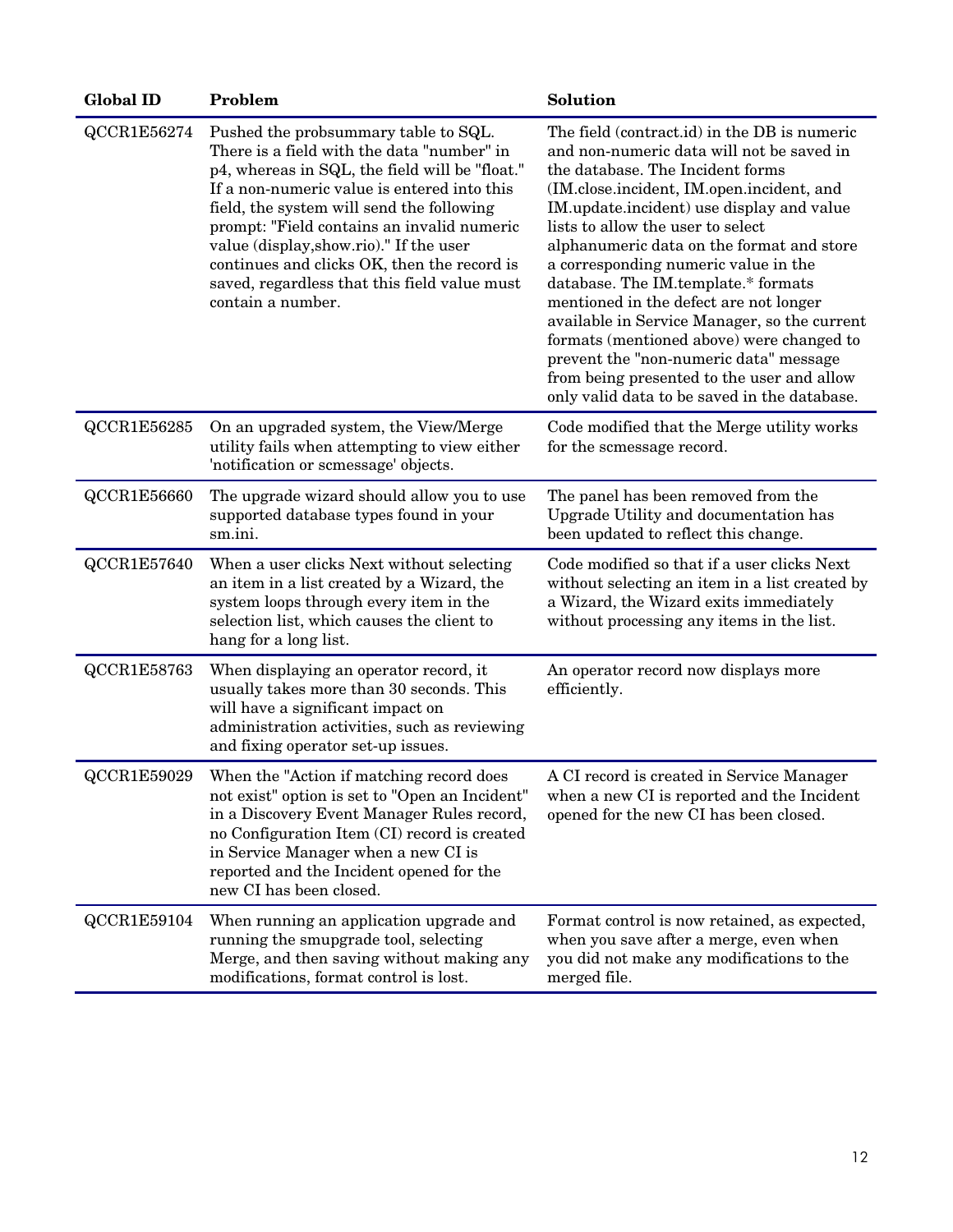| <b>Global ID</b> | Problem                                                                                                                                                                                                                                                                                                                                                                                                                                       | Solution                                                                                                                                                                                                                                                                                                                                                                                                                                                                                                                                                                                                                                                                |
|------------------|-----------------------------------------------------------------------------------------------------------------------------------------------------------------------------------------------------------------------------------------------------------------------------------------------------------------------------------------------------------------------------------------------------------------------------------------------|-------------------------------------------------------------------------------------------------------------------------------------------------------------------------------------------------------------------------------------------------------------------------------------------------------------------------------------------------------------------------------------------------------------------------------------------------------------------------------------------------------------------------------------------------------------------------------------------------------------------------------------------------------------------------|
| QCCR1E56274      | Pushed the probsummary table to SQL.<br>There is a field with the data "number" in<br>p4, whereas in SQL, the field will be "float."<br>If a non-numeric value is entered into this<br>field, the system will send the following<br>prompt: "Field contains an invalid numeric<br>value (display, show.rio)." If the user<br>continues and clicks OK, then the record is<br>saved, regardless that this field value must<br>contain a number. | The field (contract.id) in the DB is numeric<br>and non-numeric data will not be saved in<br>the database. The Incident forms<br>(IM.close.incident, IM.open.incident, and<br>IM.update.incident) use display and value<br>lists to allow the user to select<br>alphanumeric data on the format and store<br>a corresponding numeric value in the<br>database. The IM.template.* formats<br>mentioned in the defect are not longer<br>available in Service Manager, so the current<br>formats (mentioned above) were changed to<br>prevent the "non-numeric data" message<br>from being presented to the user and allow<br>only valid data to be saved in the database. |
| QCCR1E56285      | On an upgraded system, the View/Merge<br>utility fails when attempting to view either<br>'notification or scmessage' objects.                                                                                                                                                                                                                                                                                                                 | Code modified that the Merge utility works<br>for the scmessage record.                                                                                                                                                                                                                                                                                                                                                                                                                                                                                                                                                                                                 |
| QCCR1E56660      | The upgrade wizard should allow you to use<br>supported database types found in your<br>sm.ini.                                                                                                                                                                                                                                                                                                                                               | The panel has been removed from the<br>Upgrade Utility and documentation has<br>been updated to reflect this change.                                                                                                                                                                                                                                                                                                                                                                                                                                                                                                                                                    |
| QCCR1E57640      | When a user clicks Next without selecting<br>an item in a list created by a Wizard, the<br>system loops through every item in the<br>selection list, which causes the client to<br>hang for a long list.                                                                                                                                                                                                                                      | Code modified so that if a user clicks Next<br>without selecting an item in a list created by<br>a Wizard, the Wizard exits immediately<br>without processing any items in the list.                                                                                                                                                                                                                                                                                                                                                                                                                                                                                    |
| QCCR1E58763      | When displaying an operator record, it<br>usually takes more than 30 seconds. This<br>will have a significant impact on<br>administration activities, such as reviewing<br>and fixing operator set-up issues.                                                                                                                                                                                                                                 | An operator record now displays more<br>efficiently.                                                                                                                                                                                                                                                                                                                                                                                                                                                                                                                                                                                                                    |
| QCCR1E59029      | When the "Action if matching record does<br>not exist" option is set to "Open an Incident"<br>in a Discovery Event Manager Rules record,<br>no Configuration Item (CI) record is created<br>in Service Manager when a new CI is<br>reported and the Incident opened for the<br>new CI has been closed.                                                                                                                                        | A CI record is created in Service Manager<br>when a new CI is reported and the Incident<br>opened for the new CI has been closed.                                                                                                                                                                                                                                                                                                                                                                                                                                                                                                                                       |
| QCCR1E59104      | When running an application upgrade and<br>running the smupgrade tool, selecting<br>Merge, and then saving without making any<br>modifications, format control is lost.                                                                                                                                                                                                                                                                       | Format control is now retained, as expected,<br>when you save after a merge, even when<br>you did not make any modifications to the<br>merged file.                                                                                                                                                                                                                                                                                                                                                                                                                                                                                                                     |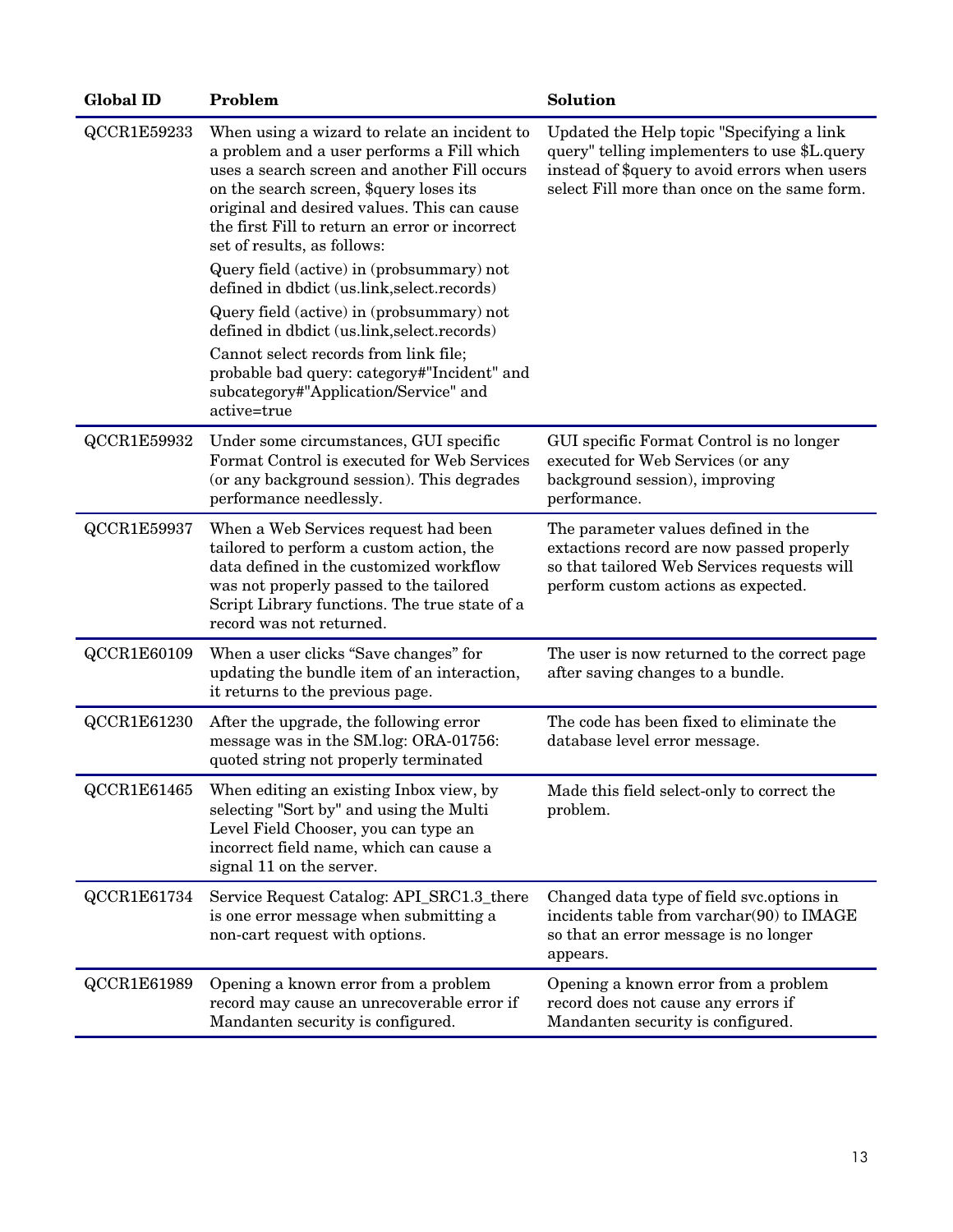| <b>Global ID</b> | Problem                                                                                                                                                                                                                                                                                                               | Solution                                                                                                                                                                                   |
|------------------|-----------------------------------------------------------------------------------------------------------------------------------------------------------------------------------------------------------------------------------------------------------------------------------------------------------------------|--------------------------------------------------------------------------------------------------------------------------------------------------------------------------------------------|
| QCCR1E59233      | When using a wizard to relate an incident to<br>a problem and a user performs a Fill which<br>uses a search screen and another Fill occurs<br>on the search screen, \$query loses its<br>original and desired values. This can cause<br>the first Fill to return an error or incorrect<br>set of results, as follows: | Updated the Help topic "Specifying a link<br>query" telling implementers to use \$L.query<br>instead of \$query to avoid errors when users<br>select Fill more than once on the same form. |
|                  | Query field (active) in (probsummary) not<br>defined in dbdict (us.link, select. records)                                                                                                                                                                                                                             |                                                                                                                                                                                            |
|                  | Query field (active) in (probsummary) not<br>defined in dbdict (us.link, select. records)                                                                                                                                                                                                                             |                                                                                                                                                                                            |
|                  | Cannot select records from link file;<br>probable bad query: category#"Incident" and<br>subcategory#"Application/Service" and<br>active=true                                                                                                                                                                          |                                                                                                                                                                                            |
| QCCR1E59932      | Under some circumstances, GUI specific<br>Format Control is executed for Web Services<br>(or any background session). This degrades<br>performance needlessly.                                                                                                                                                        | GUI specific Format Control is no longer<br>executed for Web Services (or any<br>background session), improving<br>performance.                                                            |
| QCCR1E59937      | When a Web Services request had been<br>tailored to perform a custom action, the<br>data defined in the customized workflow<br>was not properly passed to the tailored<br>Script Library functions. The true state of a<br>record was not returned.                                                                   | The parameter values defined in the<br>extactions record are now passed properly<br>so that tailored Web Services requests will<br>perform custom actions as expected.                     |
| QCCR1E60109      | When a user clicks "Save changes" for<br>updating the bundle item of an interaction,<br>it returns to the previous page.                                                                                                                                                                                              | The user is now returned to the correct page<br>after saving changes to a bundle.                                                                                                          |
| QCCR1E61230      | After the upgrade, the following error<br>message was in the SM.log: ORA-01756:<br>quoted string not properly terminated                                                                                                                                                                                              | The code has been fixed to eliminate the<br>database level error message.                                                                                                                  |
|                  | QCCR1E61465 When editing an existing Inbox view, by<br>selecting "Sort by" and using the Multi<br>Level Field Chooser, you can type an<br>incorrect field name, which can cause a<br>signal 11 on the server.                                                                                                         | Made this field select-only to correct the<br>problem.                                                                                                                                     |
| QCCR1E61734      | Service Request Catalog: API_SRC1.3_there<br>is one error message when submitting a<br>non-cart request with options.                                                                                                                                                                                                 | Changed data type of field svc.options in<br>incidents table from varchar(90) to IMAGE<br>so that an error message is no longer<br>appears.                                                |
| QCCR1E61989      | Opening a known error from a problem<br>record may cause an unrecoverable error if<br>Mandanten security is configured.                                                                                                                                                                                               | Opening a known error from a problem<br>record does not cause any errors if<br>Mandanten security is configured.                                                                           |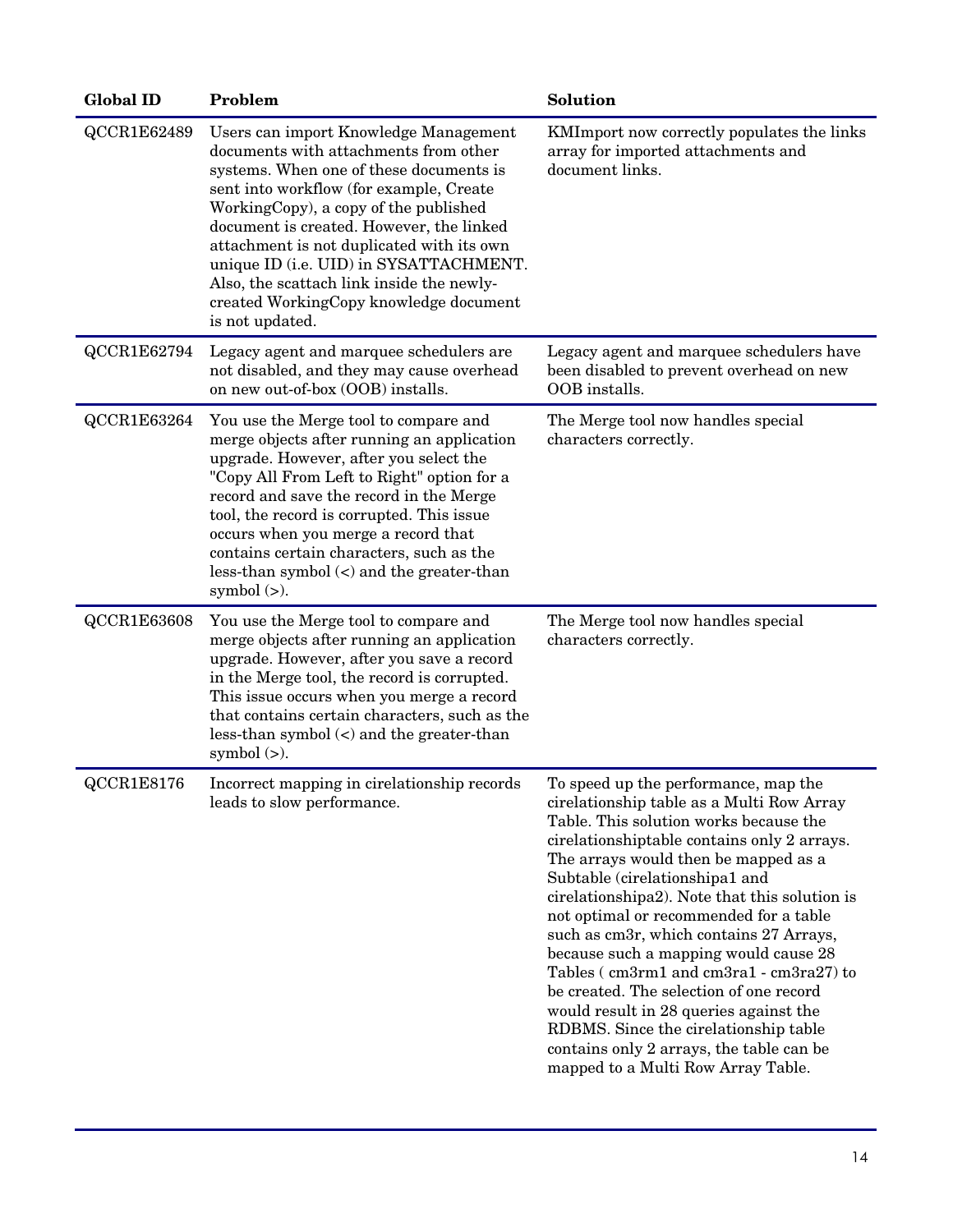| <b>Global ID</b> | Problem                                                                                                                                                                                                                                                                                                                                                                                                                                                    | Solution                                                                                                                                                                                                                                                                                                                                                                                                                                                                                                                                                                                                                                                                                       |
|------------------|------------------------------------------------------------------------------------------------------------------------------------------------------------------------------------------------------------------------------------------------------------------------------------------------------------------------------------------------------------------------------------------------------------------------------------------------------------|------------------------------------------------------------------------------------------------------------------------------------------------------------------------------------------------------------------------------------------------------------------------------------------------------------------------------------------------------------------------------------------------------------------------------------------------------------------------------------------------------------------------------------------------------------------------------------------------------------------------------------------------------------------------------------------------|
| QCCR1E62489      | Users can import Knowledge Management<br>documents with attachments from other<br>systems. When one of these documents is<br>sent into workflow (for example, Create<br>WorkingCopy), a copy of the published<br>document is created. However, the linked<br>attachment is not duplicated with its own<br>unique ID (i.e. UID) in SYSATTACHMENT.<br>Also, the scattach link inside the newly-<br>created WorkingCopy knowledge document<br>is not updated. | KMImport now correctly populates the links<br>array for imported attachments and<br>document links.                                                                                                                                                                                                                                                                                                                                                                                                                                                                                                                                                                                            |
| QCCR1E62794      | Legacy agent and marquee schedulers are<br>not disabled, and they may cause overhead<br>on new out-of-box (OOB) installs.                                                                                                                                                                                                                                                                                                                                  | Legacy agent and marquee schedulers have<br>been disabled to prevent overhead on new<br>OOB installs.                                                                                                                                                                                                                                                                                                                                                                                                                                                                                                                                                                                          |
| QCCR1E63264      | You use the Merge tool to compare and<br>merge objects after running an application<br>upgrade. However, after you select the<br>"Copy All From Left to Right" option for a<br>record and save the record in the Merge<br>tool, the record is corrupted. This issue<br>occurs when you merge a record that<br>contains certain characters, such as the<br>less-than symbol $\left( < \right)$ and the greater-than<br>symbol $(>).$                        | The Merge tool now handles special<br>characters correctly.                                                                                                                                                                                                                                                                                                                                                                                                                                                                                                                                                                                                                                    |
| QCCR1E63608      | You use the Merge tool to compare and<br>merge objects after running an application<br>upgrade. However, after you save a record<br>in the Merge tool, the record is corrupted.<br>This issue occurs when you merge a record<br>that contains certain characters, such as the<br>less-than symbol $\left( < \right)$ and the greater-than<br>symbol $(>)$ .                                                                                                | The Merge tool now handles special<br>characters correctly.                                                                                                                                                                                                                                                                                                                                                                                                                                                                                                                                                                                                                                    |
| QCCR1E8176       | Incorrect mapping in cirelationship records<br>leads to slow performance.                                                                                                                                                                                                                                                                                                                                                                                  | To speed up the performance, map the<br>cirelationship table as a Multi Row Array<br>Table. This solution works because the<br>circlationshiptable contains only 2 arrays.<br>The arrays would then be mapped as a<br>Subtable (cirelationshipa1 and<br>cirelationshipa2). Note that this solution is<br>not optimal or recommended for a table<br>such as cm3r, which contains 27 Arrays,<br>because such a mapping would cause 28<br>Tables (cm3rm1 and cm3ra1 - cm3ra27) to<br>be created. The selection of one record<br>would result in 28 queries against the<br>RDBMS. Since the circlationship table<br>contains only 2 arrays, the table can be<br>mapped to a Multi Row Array Table. |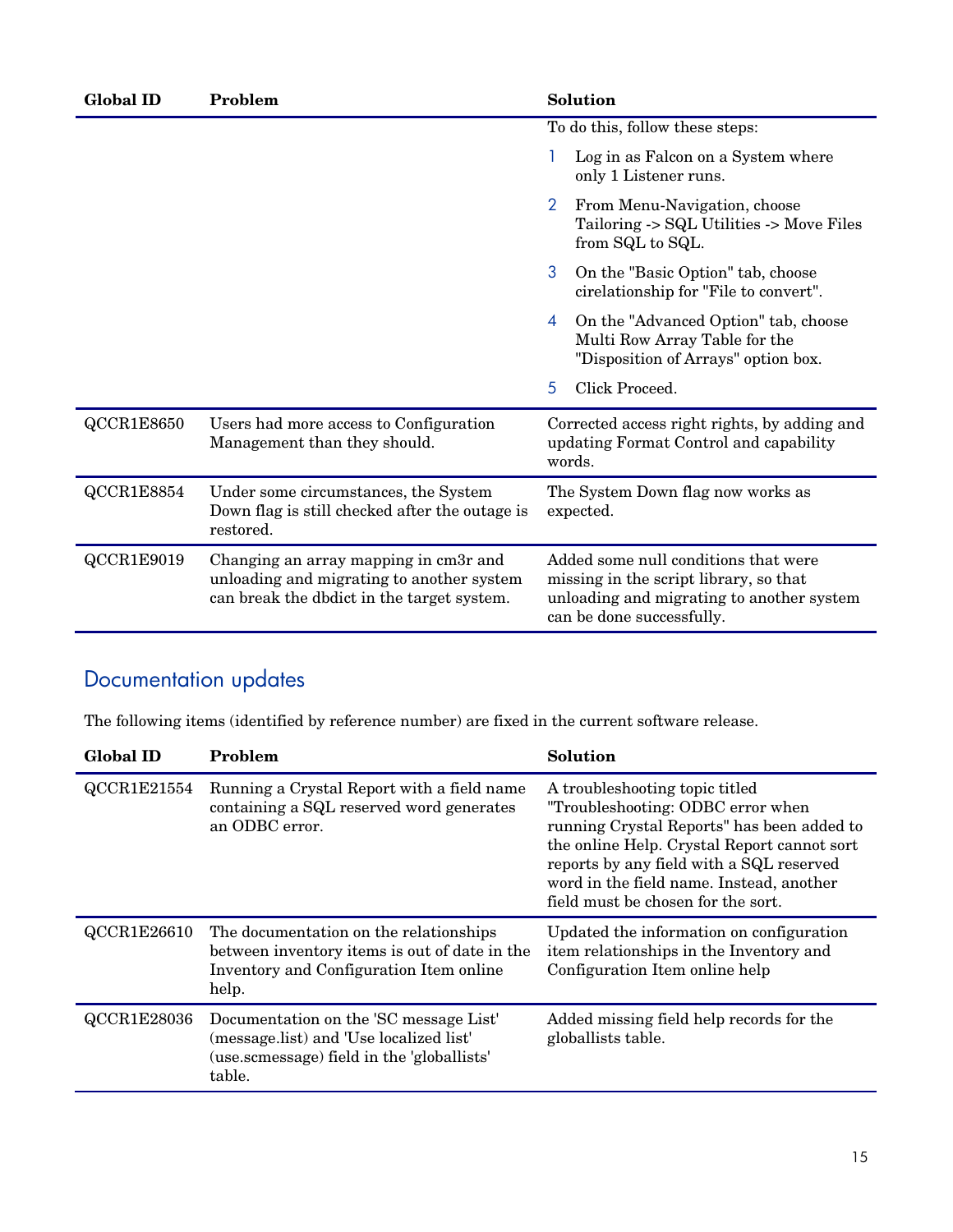| <b>Global ID</b> | Problem                                                                                                                          | Solution                                                                                                                                                 |
|------------------|----------------------------------------------------------------------------------------------------------------------------------|----------------------------------------------------------------------------------------------------------------------------------------------------------|
|                  |                                                                                                                                  | To do this, follow these steps:                                                                                                                          |
|                  |                                                                                                                                  | Log in as Falcon on a System where<br>only 1 Listener runs.                                                                                              |
|                  |                                                                                                                                  | $\overline{2}$<br>From Menu-Navigation, choose<br>Tailoring -> SQL Utilities -> Move Files<br>from SQL to SQL.                                           |
|                  |                                                                                                                                  | 3<br>On the "Basic Option" tab, choose<br>cirelationship for "File to convert".                                                                          |
|                  |                                                                                                                                  | On the "Advanced Option" tab, choose<br>4<br>Multi Row Array Table for the<br>"Disposition of Arrays" option box.                                        |
|                  |                                                                                                                                  | 5<br>Click Proceed.                                                                                                                                      |
| QCCR1E8650       | Users had more access to Configuration<br>Management than they should.                                                           | Corrected access right rights, by adding and<br>updating Format Control and capability<br>words.                                                         |
| QCCR1E8854       | Under some circumstances, the System<br>Down flag is still checked after the outage is<br>restored.                              | The System Down flag now works as<br>expected.                                                                                                           |
| QCCR1E9019       | Changing an array mapping in cm3r and<br>unloading and migrating to another system<br>can break the dbdict in the target system. | Added some null conditions that were<br>missing in the script library, so that<br>unloading and migrating to another system<br>can be done successfully. |

## <span id="page-14-0"></span>Documentation updates

| <b>Global ID</b> | Problem                                                                                                                                     | Solution                                                                                                                                                                                                                                                                                        |
|------------------|---------------------------------------------------------------------------------------------------------------------------------------------|-------------------------------------------------------------------------------------------------------------------------------------------------------------------------------------------------------------------------------------------------------------------------------------------------|
| QCCR1E21554      | Running a Crystal Report with a field name<br>containing a SQL reserved word generates<br>an ODBC error.                                    | A trouble shooting topic titled<br>"Troubleshooting: ODBC error when<br>running Crystal Reports" has been added to<br>the online Help. Crystal Report cannot sort<br>reports by any field with a SQL reserved<br>word in the field name. Instead, another<br>field must be chosen for the sort. |
| QCCR1E26610      | The documentation on the relationships<br>between inventory items is out of date in the<br>Inventory and Configuration Item online<br>help. | Updated the information on configuration<br>item relationships in the Inventory and<br>Configuration Item online help                                                                                                                                                                           |
| QCCR1E28036      | Documentation on the 'SC message List'<br>(message.list) and 'Use localized list'<br>(use.scmessage) field in the 'globallists'<br>table.   | Added missing field help records for the<br>globallists table.                                                                                                                                                                                                                                  |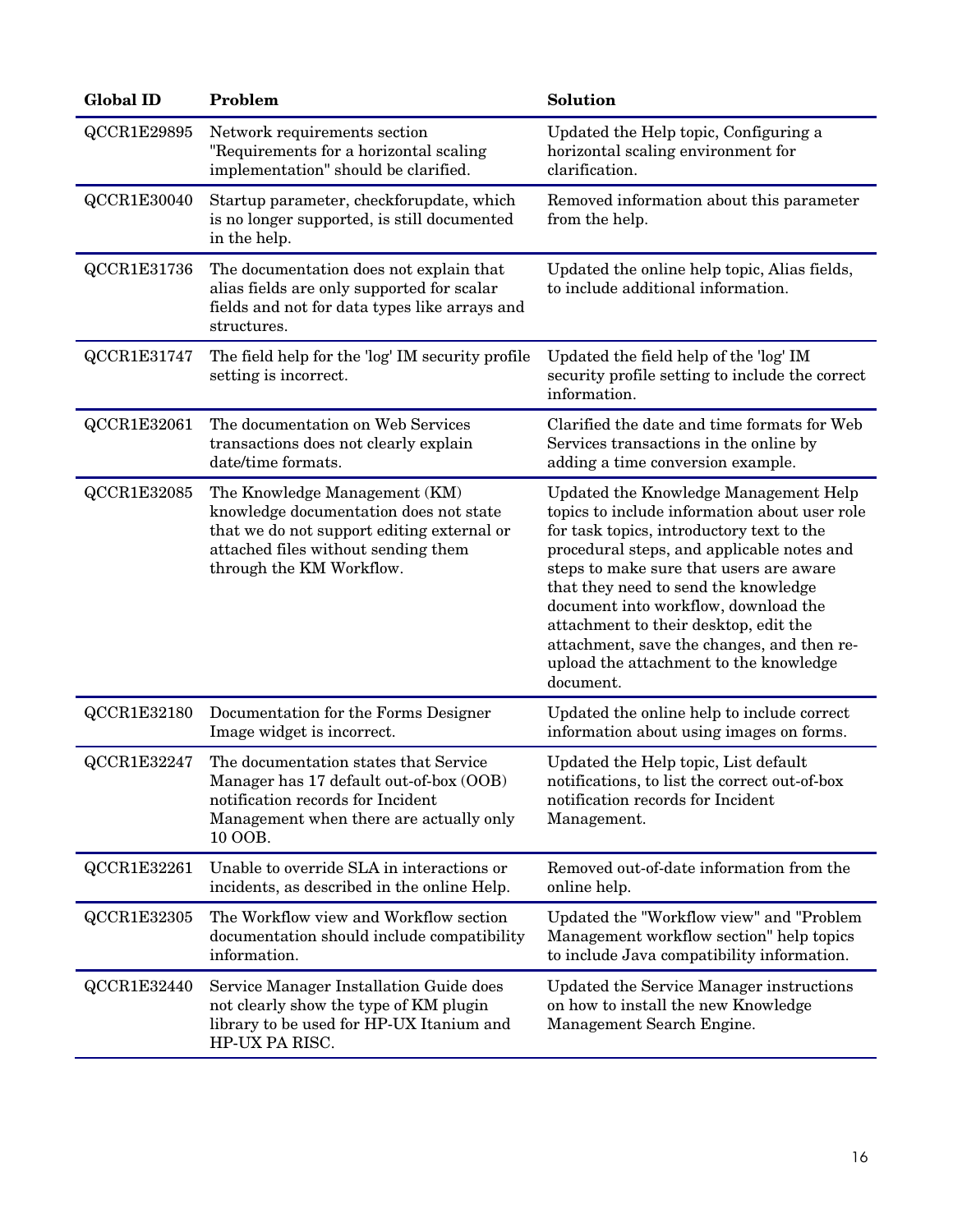| <b>Global ID</b> | Problem                                                                                                                                                                                  | Solution                                                                                                                                                                                                                                                                                                                                                                                                                                                   |
|------------------|------------------------------------------------------------------------------------------------------------------------------------------------------------------------------------------|------------------------------------------------------------------------------------------------------------------------------------------------------------------------------------------------------------------------------------------------------------------------------------------------------------------------------------------------------------------------------------------------------------------------------------------------------------|
| QCCR1E29895      | Network requirements section<br>"Requirements for a horizontal scaling<br>implementation" should be clarified.                                                                           | Updated the Help topic, Configuring a<br>horizontal scaling environment for<br>clarification.                                                                                                                                                                                                                                                                                                                                                              |
| QCCR1E30040      | Startup parameter, checkforupdate, which<br>is no longer supported, is still documented<br>in the help.                                                                                  | Removed information about this parameter<br>from the help.                                                                                                                                                                                                                                                                                                                                                                                                 |
| QCCR1E31736      | The documentation does not explain that<br>alias fields are only supported for scalar<br>fields and not for data types like arrays and<br>structures.                                    | Updated the online help topic, Alias fields,<br>to include additional information.                                                                                                                                                                                                                                                                                                                                                                         |
| QCCR1E31747      | The field help for the 'log' IM security profile<br>setting is incorrect.                                                                                                                | Updated the field help of the 'log' IM<br>security profile setting to include the correct<br>information.                                                                                                                                                                                                                                                                                                                                                  |
| QCCR1E32061      | The documentation on Web Services<br>transactions does not clearly explain<br>date/time formats.                                                                                         | Clarified the date and time formats for Web<br>Services transactions in the online by<br>adding a time conversion example.                                                                                                                                                                                                                                                                                                                                 |
| QCCR1E32085      | The Knowledge Management (KM)<br>knowledge documentation does not state<br>that we do not support editing external or<br>attached files without sending them<br>through the KM Workflow. | Updated the Knowledge Management Help<br>topics to include information about user role<br>for task topics, introductory text to the<br>procedural steps, and applicable notes and<br>steps to make sure that users are aware<br>that they need to send the knowledge<br>document into workflow, download the<br>attachment to their desktop, edit the<br>attachment, save the changes, and then re-<br>upload the attachment to the knowledge<br>document. |
| QCCR1E32180      | Documentation for the Forms Designer<br>Image widget is incorrect.                                                                                                                       | Updated the online help to include correct<br>information about using images on forms.                                                                                                                                                                                                                                                                                                                                                                     |
| QCCR1E32247      | The documentation states that Service<br>Manager has 17 default out-of-box (OOB)<br>notification records for Incident<br>Management when there are actually only<br>10 OOB.              | Updated the Help topic, List default<br>notifications, to list the correct out-of-box<br>notification records for Incident<br>Management.                                                                                                                                                                                                                                                                                                                  |
| QCCR1E32261      | Unable to override SLA in interactions or<br>incidents, as described in the online Help.                                                                                                 | Removed out-of-date information from the<br>online help.                                                                                                                                                                                                                                                                                                                                                                                                   |
| QCCR1E32305      | The Workflow view and Workflow section<br>documentation should include compatibility<br>information.                                                                                     | Updated the "Workflow view" and "Problem<br>Management workflow section" help topics<br>to include Java compatibility information.                                                                                                                                                                                                                                                                                                                         |
| QCCR1E32440      | Service Manager Installation Guide does<br>not clearly show the type of KM plugin<br>library to be used for HP-UX Itanium and<br>HP-UX PA RISC.                                          | Updated the Service Manager instructions<br>on how to install the new Knowledge<br>Management Search Engine.                                                                                                                                                                                                                                                                                                                                               |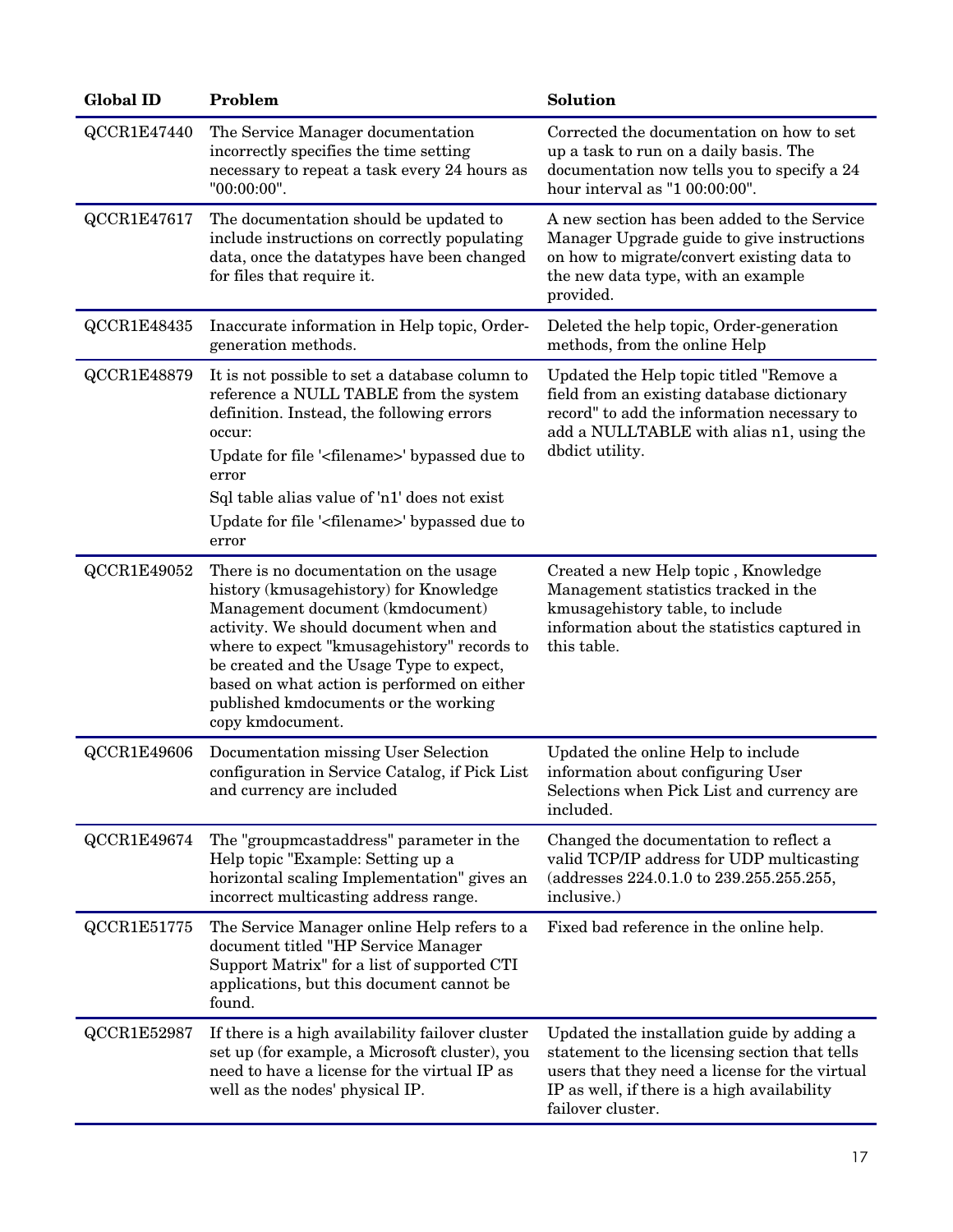| <b>Global ID</b>   | Problem                                                                                                                                                                                                                                                                                                                                                                      | Solution                                                                                                                                                                                                          |
|--------------------|------------------------------------------------------------------------------------------------------------------------------------------------------------------------------------------------------------------------------------------------------------------------------------------------------------------------------------------------------------------------------|-------------------------------------------------------------------------------------------------------------------------------------------------------------------------------------------------------------------|
| <b>QCCR1E47440</b> | The Service Manager documentation<br>incorrectly specifies the time setting<br>necessary to repeat a task every 24 hours as<br>"00:00:00".                                                                                                                                                                                                                                   | Corrected the documentation on how to set<br>up a task to run on a daily basis. The<br>documentation now tells you to specify a 24<br>hour interval as "1 00:00:00".                                              |
| QCCR1E47617        | The documentation should be updated to<br>include instructions on correctly populating<br>data, once the datatypes have been changed<br>for files that require it.                                                                                                                                                                                                           | A new section has been added to the Service<br>Manager Upgrade guide to give instructions<br>on how to migrate/convert existing data to<br>the new data type, with an example<br>provided.                        |
| QCCR1E48435        | Inaccurate information in Help topic, Order-<br>generation methods.                                                                                                                                                                                                                                                                                                          | Deleted the help topic, Order-generation<br>methods, from the online Help                                                                                                                                         |
| <b>QCCR1E48879</b> | It is not possible to set a database column to<br>reference a NULL TABLE from the system<br>definition. Instead, the following errors<br>occur:<br>Update for file ' <filename>' bypassed due to<br/>error<br/>Sql table alias value of 'n1' does not exist<br/>Update for file '<filename>' bypassed due to</filename></filename>                                           | Updated the Help topic titled "Remove a<br>field from an existing database dictionary<br>record" to add the information necessary to<br>add a NULLTABLE with alias n1, using the<br>dbdict utility.               |
| QCCR1E49052        | error<br>There is no documentation on the usage<br>history (kmusagehistory) for Knowledge<br>Management document (kmdocument)<br>activity. We should document when and<br>where to expect "kmusagehistory" records to<br>be created and the Usage Type to expect,<br>based on what action is performed on either<br>published kmdocuments or the working<br>copy kmdocument. | Created a new Help topic, Knowledge<br>Management statistics tracked in the<br>kmusagehistory table, to include<br>information about the statistics captured in<br>this table.                                    |
| QCCR1E49606        | Documentation missing User Selection<br>configuration in Service Catalog, if Pick List<br>and currency are included                                                                                                                                                                                                                                                          | Updated the online Help to include<br>information about configuring User<br>Selections when Pick List and currency are<br>included.                                                                               |
| QCCR1E49674        | The "groupmcastaddress" parameter in the<br>Help topic "Example: Setting up a<br>horizontal scaling Implementation" gives an<br>incorrect multicasting address range.                                                                                                                                                                                                        | Changed the documentation to reflect a<br>valid TCP/IP address for UDP multicasting<br>(addresses 224.0.1.0 to 239.255.255.255,<br>inclusive.)                                                                    |
| QCCR1E51775        | The Service Manager online Help refers to a<br>document titled "HP Service Manager<br>Support Matrix" for a list of supported CTI<br>applications, but this document cannot be<br>found.                                                                                                                                                                                     | Fixed bad reference in the online help.                                                                                                                                                                           |
| QCCR1E52987        | If there is a high availability failover cluster<br>set up (for example, a Microsoft cluster), you<br>need to have a license for the virtual IP as<br>well as the nodes' physical IP.                                                                                                                                                                                        | Updated the installation guide by adding a<br>statement to the licensing section that tells<br>users that they need a license for the virtual<br>IP as well, if there is a high availability<br>failover cluster. |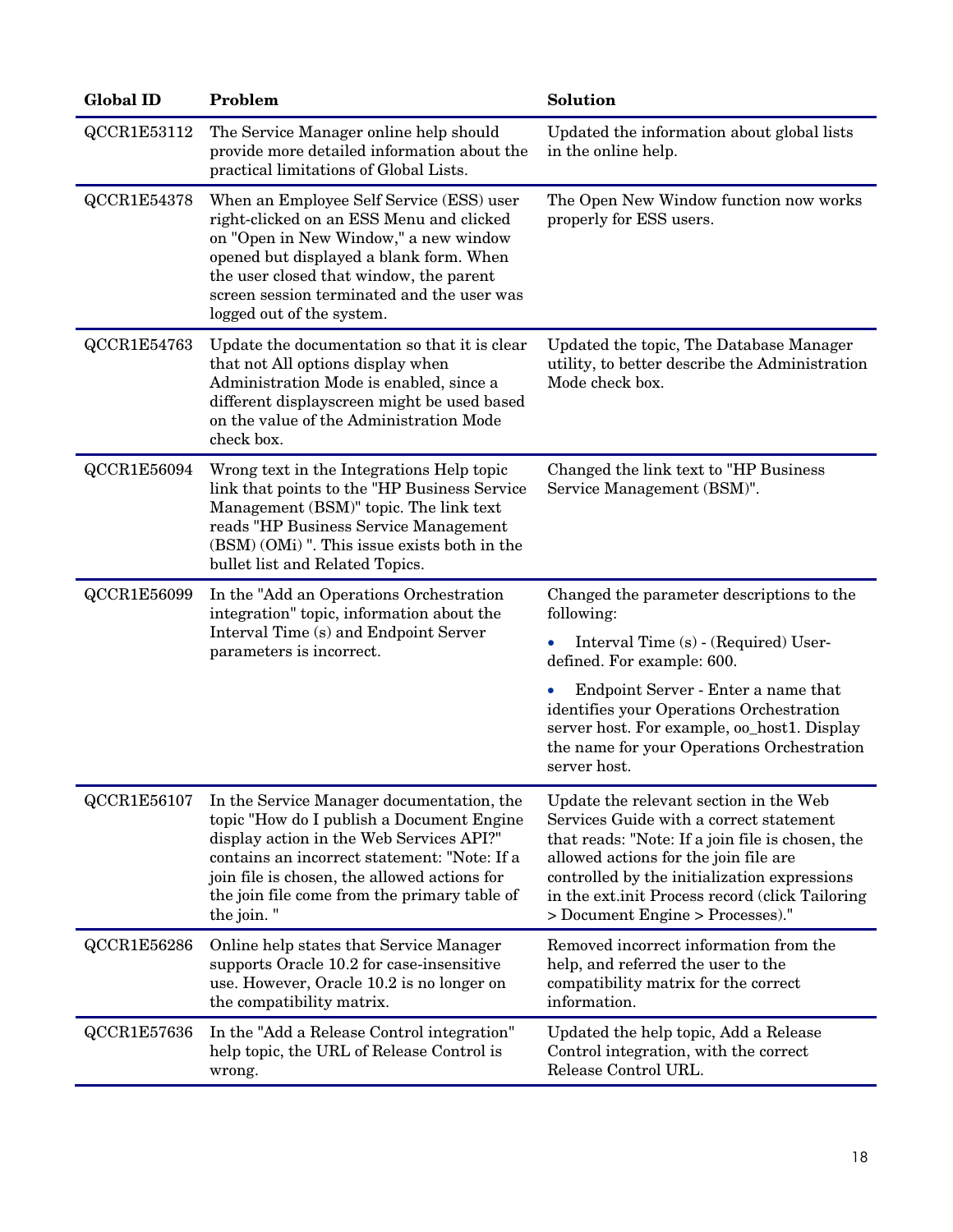| <b>Global ID</b> | Problem                                                                                                                                                                                                                                                                                          | <b>Solution</b>                                                                                                                                                                                                                                                                                                        |
|------------------|--------------------------------------------------------------------------------------------------------------------------------------------------------------------------------------------------------------------------------------------------------------------------------------------------|------------------------------------------------------------------------------------------------------------------------------------------------------------------------------------------------------------------------------------------------------------------------------------------------------------------------|
| QCCR1E53112      | The Service Manager online help should<br>provide more detailed information about the<br>practical limitations of Global Lists.                                                                                                                                                                  | Updated the information about global lists<br>in the online help.                                                                                                                                                                                                                                                      |
| QCCR1E54378      | When an Employee Self Service (ESS) user<br>right-clicked on an ESS Menu and clicked<br>on "Open in New Window," a new window<br>opened but displayed a blank form. When<br>the user closed that window, the parent<br>screen session terminated and the user was<br>logged out of the system.   | The Open New Window function now works<br>properly for ESS users.                                                                                                                                                                                                                                                      |
| QCCR1E54763      | Update the documentation so that it is clear<br>that not All options display when<br>Administration Mode is enabled, since a<br>different displayscreen might be used based<br>on the value of the Administration Mode<br>check box.                                                             | Updated the topic, The Database Manager<br>utility, to better describe the Administration<br>Mode check box.                                                                                                                                                                                                           |
| QCCR1E56094      | Wrong text in the Integrations Help topic<br>link that points to the "HP Business Service"<br>Management (BSM)" topic. The link text<br>reads "HP Business Service Management<br>(BSM) (OMi) ". This issue exists both in the<br>bullet list and Related Topics.                                 | Changed the link text to "HP Business"<br>Service Management (BSM)".                                                                                                                                                                                                                                                   |
| QCCR1E56099      | In the "Add an Operations Orchestration<br>integration" topic, information about the<br>Interval Time (s) and Endpoint Server<br>parameters is incorrect.                                                                                                                                        | Changed the parameter descriptions to the<br>following:<br>Interval Time (s) - (Required) User-<br>defined. For example: 600.                                                                                                                                                                                          |
|                  |                                                                                                                                                                                                                                                                                                  | Endpoint Server - Enter a name that<br>identifies your Operations Orchestration<br>server host. For example, oo_host1. Display<br>the name for your Operations Orchestration<br>server host.                                                                                                                           |
| QCCR1E56107      | In the Service Manager documentation, the<br>topic "How do I publish a Document Engine<br>display action in the Web Services API?"<br>contains an incorrect statement: "Note: If a<br>join file is chosen, the allowed actions for<br>the join file come from the primary table of<br>the join." | Update the relevant section in the Web<br>Services Guide with a correct statement<br>that reads: "Note: If a join file is chosen, the<br>allowed actions for the join file are<br>controlled by the initialization expressions<br>in the ext.init Process record (click Tailoring)<br>> Document Engine > Processes)." |
| QCCR1E56286      | Online help states that Service Manager<br>supports Oracle 10.2 for case-insensitive<br>use. However, Oracle 10.2 is no longer on<br>the compatibility matrix.                                                                                                                                   | Removed incorrect information from the<br>help, and referred the user to the<br>compatibility matrix for the correct<br>information.                                                                                                                                                                                   |
| QCCR1E57636      | In the "Add a Release Control integration"<br>help topic, the URL of Release Control is<br>wrong.                                                                                                                                                                                                | Updated the help topic, Add a Release<br>Control integration, with the correct<br>Release Control URL.                                                                                                                                                                                                                 |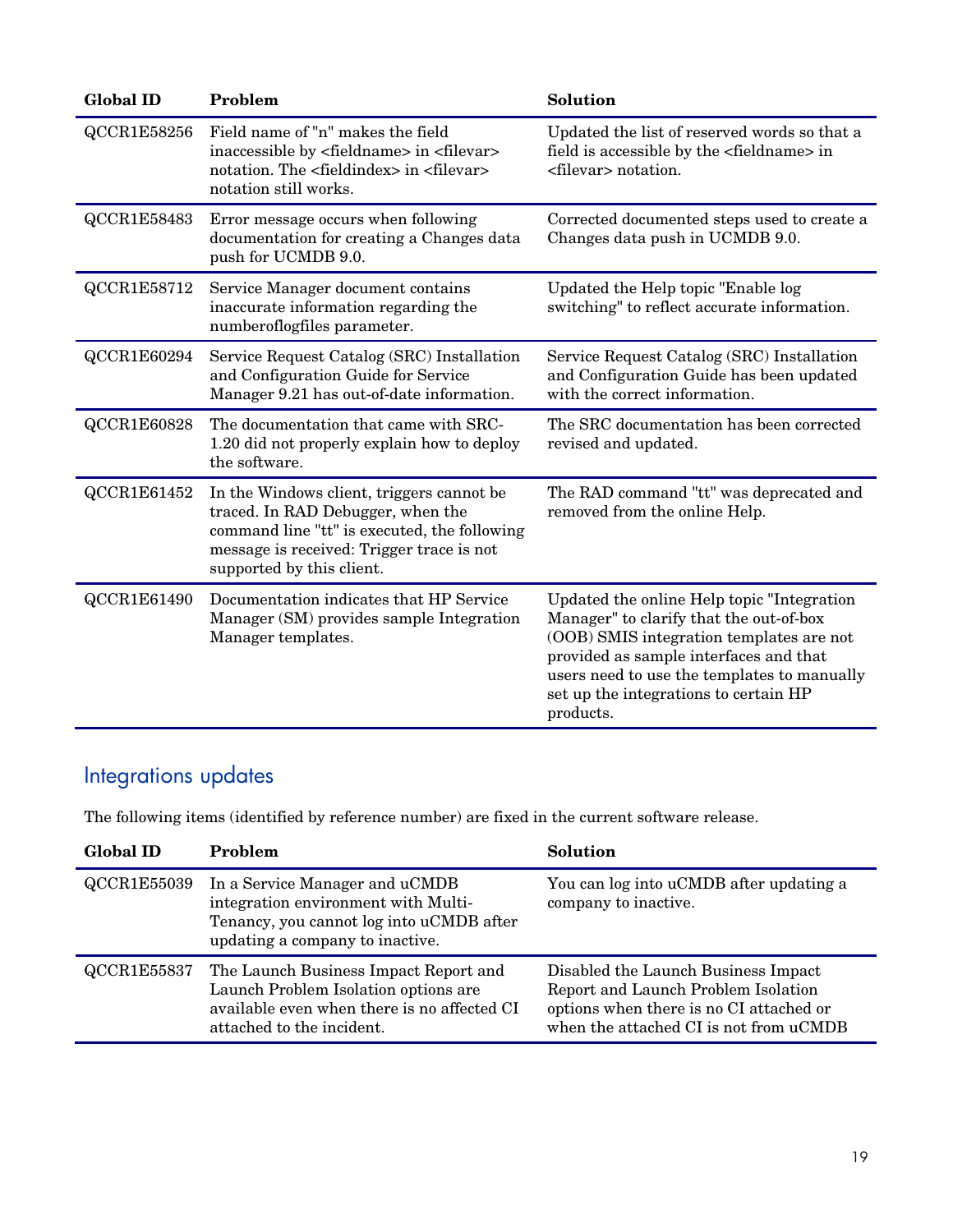| <b>Global ID</b>   | Problem                                                                                                                                                                                                  | <b>Solution</b>                                                                                                                                                                                                                                                                  |
|--------------------|----------------------------------------------------------------------------------------------------------------------------------------------------------------------------------------------------------|----------------------------------------------------------------------------------------------------------------------------------------------------------------------------------------------------------------------------------------------------------------------------------|
| QCCR1E58256        | Field name of "n" makes the field<br>inaccessible by <fieldname> in <filevar><br/>notation. The <fieldindex> in <filevar><br/>notation still works.</filevar></fieldindex></filevar></fieldname>         | Updated the list of reserved words so that a<br>field is accessible by the <fieldname> in<br/><filevar> notation.</filevar></fieldname>                                                                                                                                          |
| <b>QCCR1E58483</b> | Error message occurs when following<br>documentation for creating a Changes data<br>push for UCMDB 9.0.                                                                                                  | Corrected documented steps used to create a<br>Changes data push in UCMDB 9.0.                                                                                                                                                                                                   |
| QCCR1E58712        | Service Manager document contains<br>inaccurate information regarding the<br>numberoflogfiles parameter.                                                                                                 | Updated the Help topic "Enable log<br>switching" to reflect accurate information.                                                                                                                                                                                                |
| QCCR1E60294        | Service Request Catalog (SRC) Installation<br>and Configuration Guide for Service<br>Manager 9.21 has out-of-date information.                                                                           | Service Request Catalog (SRC) Installation<br>and Configuration Guide has been updated<br>with the correct information.                                                                                                                                                          |
| QCCR1E60828        | The documentation that came with SRC-<br>1.20 did not properly explain how to deploy<br>the software.                                                                                                    | The SRC documentation has been corrected<br>revised and updated.                                                                                                                                                                                                                 |
| QCCR1E61452        | In the Windows client, triggers cannot be<br>traced. In RAD Debugger, when the<br>command line "tt" is executed, the following<br>message is received: Trigger trace is not<br>supported by this client. | The RAD command "tt" was deprecated and<br>removed from the online Help.                                                                                                                                                                                                         |
| QCCR1E61490        | Documentation indicates that HP Service<br>Manager (SM) provides sample Integration<br>Manager templates.                                                                                                | Updated the online Help topic "Integration<br>Manager" to clarify that the out-of-box<br>(OOB) SMIS integration templates are not<br>provided as sample interfaces and that<br>users need to use the templates to manually<br>set up the integrations to certain HP<br>products. |

## <span id="page-18-0"></span>Integrations updates

| <b>Global ID</b> | Problem                                                                                                                                                   | Solution                                                                                                                                                        |
|------------------|-----------------------------------------------------------------------------------------------------------------------------------------------------------|-----------------------------------------------------------------------------------------------------------------------------------------------------------------|
| QCCR1E55039      | In a Service Manager and uCMDB<br>integration environment with Multi-<br>Tenancy, you cannot log into uCMDB after<br>updating a company to inactive.      | You can log into uCMDB after updating a<br>company to inactive.                                                                                                 |
| QCCR1E55837      | The Launch Business Impact Report and<br>Launch Problem Isolation options are<br>available even when there is no affected CI<br>attached to the incident. | Disabled the Launch Business Impact<br>Report and Launch Problem Isolation<br>options when there is no CI attached or<br>when the attached CI is not from uCMDB |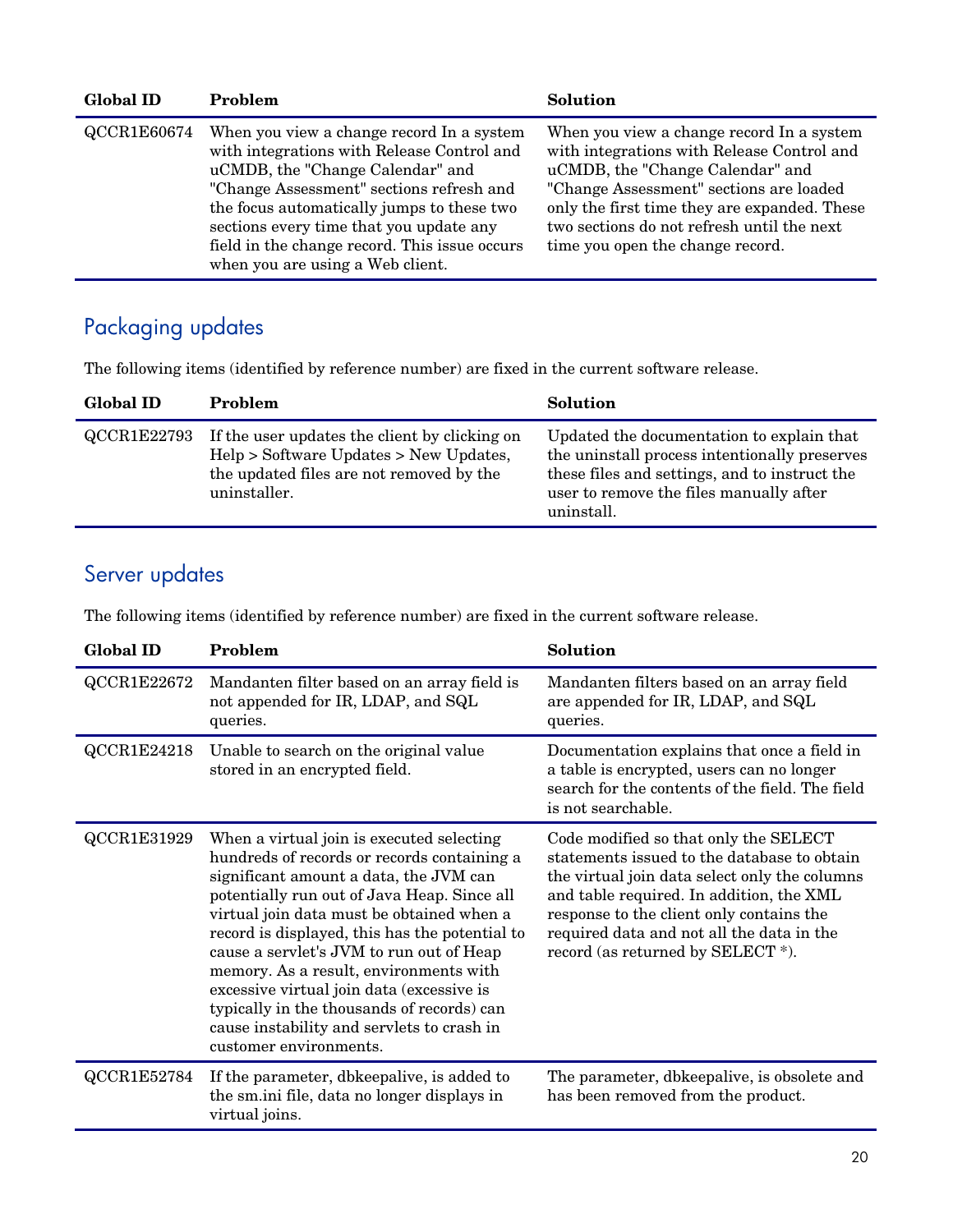| <b>Global ID</b> | Problem                                                                                                                                                                                                                                                                                                                                               | Solution                                                                                                                                                                                                                                                                                                 |
|------------------|-------------------------------------------------------------------------------------------------------------------------------------------------------------------------------------------------------------------------------------------------------------------------------------------------------------------------------------------------------|----------------------------------------------------------------------------------------------------------------------------------------------------------------------------------------------------------------------------------------------------------------------------------------------------------|
| QCCR1E60674      | When you view a change record In a system<br>with integrations with Release Control and<br>uCMDB, the "Change Calendar" and<br>"Change Assessment" sections refresh and<br>the focus automatically jumps to these two<br>sections every time that you update any<br>field in the change record. This issue occurs<br>when you are using a Web client. | When you view a change record In a system<br>with integrations with Release Control and<br>uCMDB, the "Change Calendar" and<br>"Change Assessment" sections are loaded<br>only the first time they are expanded. These<br>two sections do not refresh until the next<br>time you open the change record. |

## <span id="page-19-0"></span>Packaging updates

The following items (identified by reference number) are fixed in the current software release.

| <b>Global ID</b> | Problem                                                                                                                                             | Solution                                                                                                                                                                                             |
|------------------|-----------------------------------------------------------------------------------------------------------------------------------------------------|------------------------------------------------------------------------------------------------------------------------------------------------------------------------------------------------------|
| QCCR1E22793      | If the user updates the client by clicking on<br>Help > Software Updates > New Updates,<br>the updated files are not removed by the<br>uninstaller. | Updated the documentation to explain that<br>the uninstall process intentionally preserves<br>these files and settings, and to instruct the<br>user to remove the files manually after<br>uninstall. |

## <span id="page-19-1"></span>Server updates

| <b>Global ID</b> | Problem                                                                                                                                                                                                                                                                                                                                                                                                                                                                                                                                   | Solution                                                                                                                                                                                                                                                                                                           |
|------------------|-------------------------------------------------------------------------------------------------------------------------------------------------------------------------------------------------------------------------------------------------------------------------------------------------------------------------------------------------------------------------------------------------------------------------------------------------------------------------------------------------------------------------------------------|--------------------------------------------------------------------------------------------------------------------------------------------------------------------------------------------------------------------------------------------------------------------------------------------------------------------|
| QCCR1E22672      | Mandanten filter based on an array field is<br>not appended for IR, LDAP, and SQL<br>queries.                                                                                                                                                                                                                                                                                                                                                                                                                                             | Mandanten filters based on an array field<br>are appended for IR, LDAP, and SQL<br>queries.                                                                                                                                                                                                                        |
| QCCR1E24218      | Unable to search on the original value<br>stored in an encrypted field.                                                                                                                                                                                                                                                                                                                                                                                                                                                                   | Documentation explains that once a field in<br>a table is encrypted, users can no longer<br>search for the contents of the field. The field<br>is not searchable.                                                                                                                                                  |
| QCCR1E31929      | When a virtual join is executed selecting<br>hundreds of records or records containing a<br>significant amount a data, the JVM can<br>potentially run out of Java Heap. Since all<br>virtual join data must be obtained when a<br>record is displayed, this has the potential to<br>cause a servlet's JVM to run out of Heap<br>memory. As a result, environments with<br>excessive virtual join data (excessive is<br>typically in the thousands of records) can<br>cause instability and servlets to crash in<br>customer environments. | Code modified so that only the SELECT<br>statements issued to the database to obtain<br>the virtual join data select only the columns<br>and table required. In addition, the XML<br>response to the client only contains the<br>required data and not all the data in the<br>record (as returned by SELECT $*$ ). |
| QCCR1E52784      | If the parameter, dbkeepalive, is added to<br>the sm.ini file, data no longer displays in<br>virtual joins.                                                                                                                                                                                                                                                                                                                                                                                                                               | The parameter, dbkeepalive, is obsolete and<br>has been removed from the product.                                                                                                                                                                                                                                  |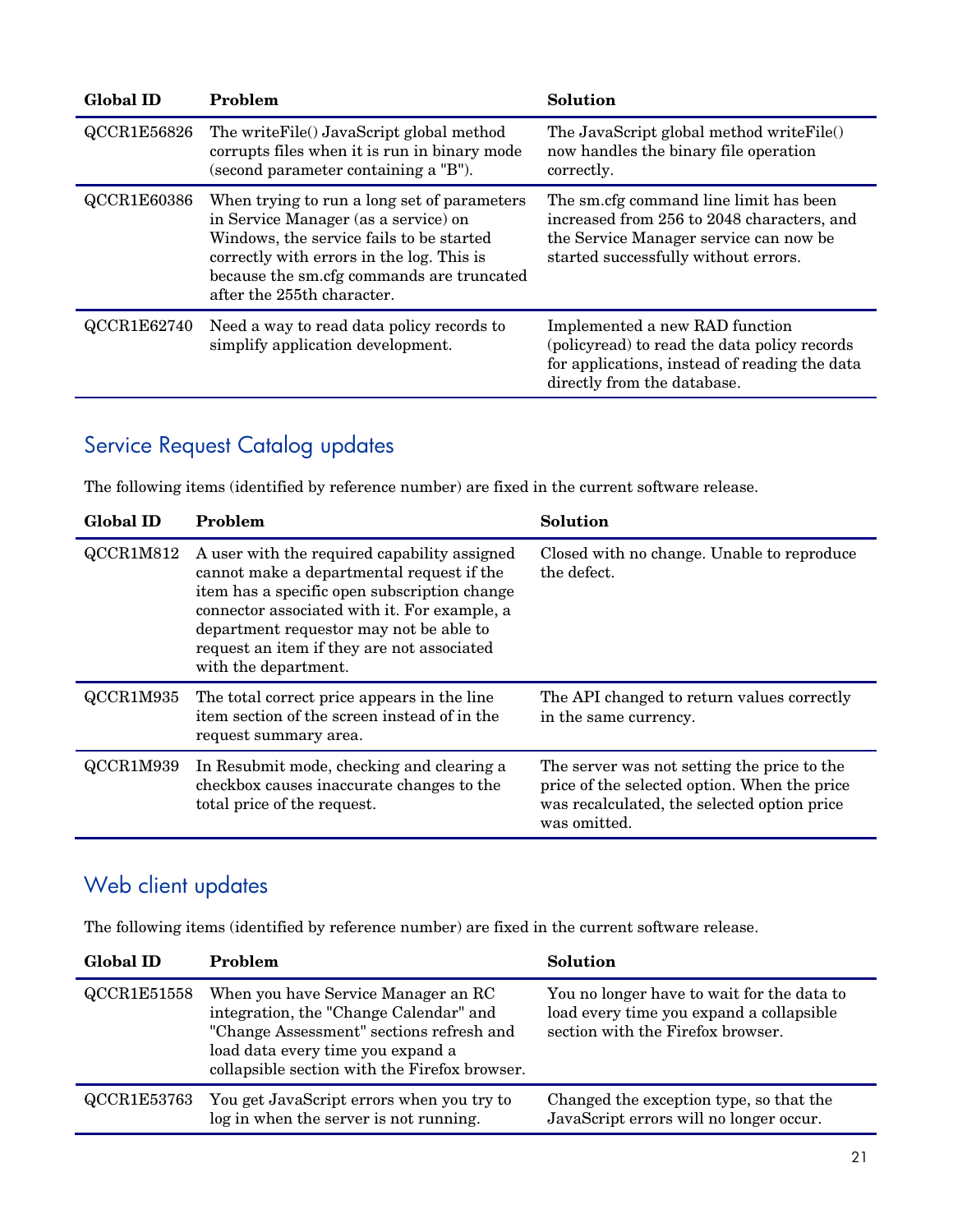| <b>Global ID</b> | Problem                                                                                                                                                                                                                                                 | <b>Solution</b>                                                                                                                                                        |
|------------------|---------------------------------------------------------------------------------------------------------------------------------------------------------------------------------------------------------------------------------------------------------|------------------------------------------------------------------------------------------------------------------------------------------------------------------------|
| QCCR1E56826      | The write File() JavaScript global method<br>corrupts files when it is run in binary mode<br>(second parameter containing a "B").                                                                                                                       | The JavaScript global method writeFile()<br>now handles the binary file operation<br>correctly.                                                                        |
| QCCR1E60386      | When trying to run a long set of parameters<br>in Service Manager (as a service) on<br>Windows, the service fails to be started<br>correctly with errors in the log. This is<br>because the sm.cfg commands are truncated<br>after the 255th character. | The sm.cfg command line limit has been<br>increased from 256 to 2048 characters, and<br>the Service Manager service can now be<br>started successfully without errors. |
| QCCR1E62740      | Need a way to read data policy records to<br>simplify application development.                                                                                                                                                                          | Implemented a new RAD function<br>(policyread) to read the data policy records<br>for applications, instead of reading the data<br>directly from the database.         |

## <span id="page-20-0"></span>Service Request Catalog updates

The following items (identified by reference number) are fixed in the current software release.

| <b>Global ID</b> | Problem                                                                                                                                                                                                                                                                                                    | <b>Solution</b>                                                                                                                                            |  |
|------------------|------------------------------------------------------------------------------------------------------------------------------------------------------------------------------------------------------------------------------------------------------------------------------------------------------------|------------------------------------------------------------------------------------------------------------------------------------------------------------|--|
| QCCR1M812        | A user with the required capability assigned<br>cannot make a departmental request if the<br>item has a specific open subscription change<br>connector associated with it. For example, a<br>department requestor may not be able to<br>request an item if they are not associated<br>with the department. | Closed with no change. Unable to reproduce<br>the defect.                                                                                                  |  |
| QCCR1M935        | The total correct price appears in the line<br>item section of the screen instead of in the<br>request summary area.                                                                                                                                                                                       | The API changed to return values correctly<br>in the same currency.                                                                                        |  |
| QCCR1M939        | In Resubmit mode, checking and clearing a<br>checkbox causes inaccurate changes to the<br>total price of the request.                                                                                                                                                                                      | The server was not setting the price to the<br>price of the selected option. When the price<br>was recalculated, the selected option price<br>was omitted. |  |

## <span id="page-20-1"></span>Web client updates

| <b>Global ID</b> | Problem                                                                                                                                                                                                         | Solution                                                                                                                    |
|------------------|-----------------------------------------------------------------------------------------------------------------------------------------------------------------------------------------------------------------|-----------------------------------------------------------------------------------------------------------------------------|
| QCCR1E51558      | When you have Service Manager an RC<br>integration, the "Change Calendar" and<br>"Change Assessment" sections refresh and<br>load data every time you expand a<br>collapsible section with the Firefox browser. | You no longer have to wait for the data to<br>load every time you expand a collapsible<br>section with the Firefox browser. |
| QCCR1E53763      | You get JavaScript errors when you try to<br>log in when the server is not running.                                                                                                                             | Changed the exception type, so that the<br>JavaScript errors will no longer occur.                                          |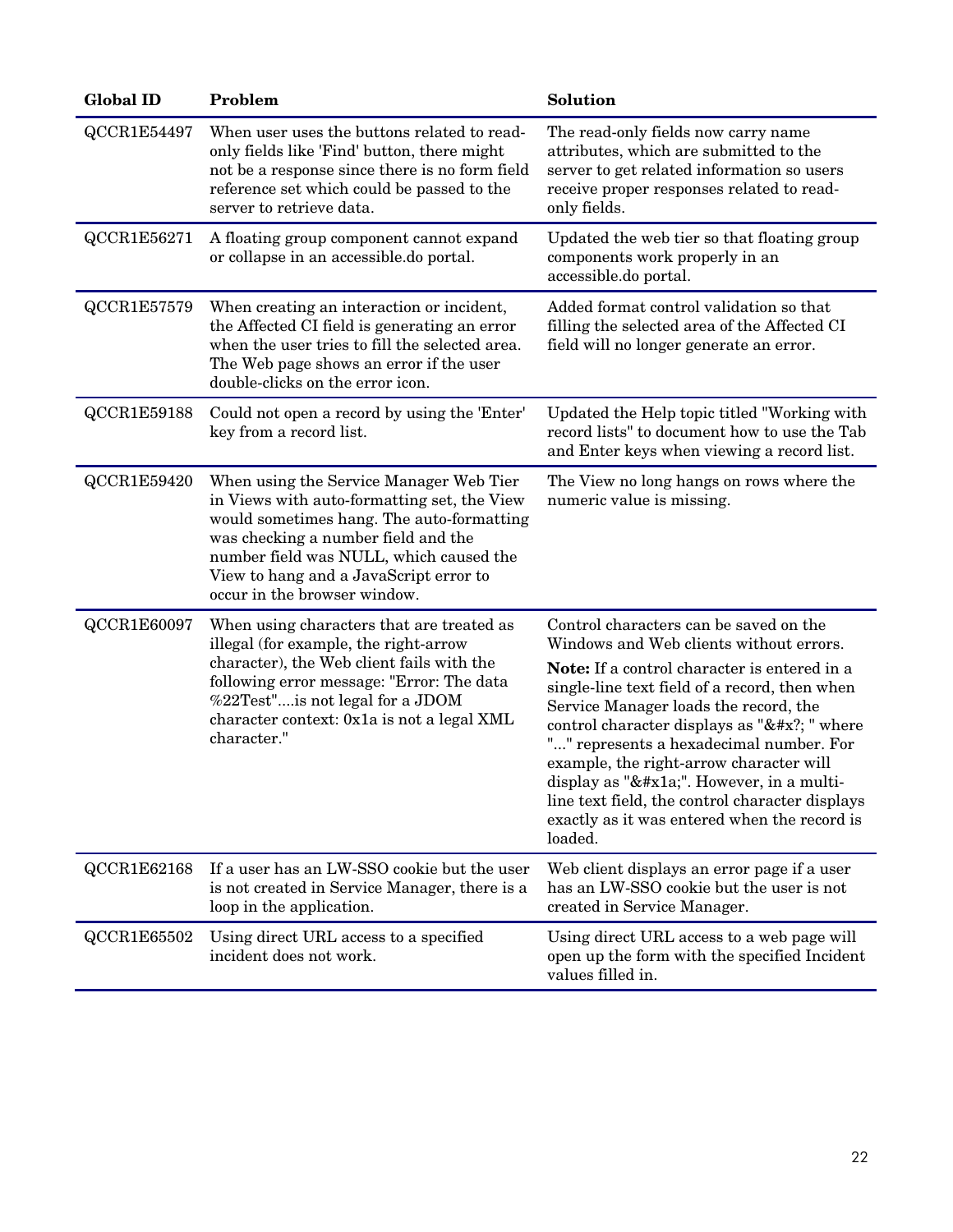| <b>Global ID</b>   | Problem                                                                                                                                                                                                                                                                                         | Solution                                                                                                                                                                                                                                                                                                                                                                                                                                                                                                                          |
|--------------------|-------------------------------------------------------------------------------------------------------------------------------------------------------------------------------------------------------------------------------------------------------------------------------------------------|-----------------------------------------------------------------------------------------------------------------------------------------------------------------------------------------------------------------------------------------------------------------------------------------------------------------------------------------------------------------------------------------------------------------------------------------------------------------------------------------------------------------------------------|
| QCCR1E54497        | When user uses the buttons related to read-<br>only fields like 'Find' button, there might<br>not be a response since there is no form field<br>reference set which could be passed to the<br>server to retrieve data.                                                                          | The read-only fields now carry name<br>attributes, which are submitted to the<br>server to get related information so users<br>receive proper responses related to read-<br>only fields.                                                                                                                                                                                                                                                                                                                                          |
| QCCR1E56271        | A floating group component cannot expand<br>or collapse in an accessible.do portal.                                                                                                                                                                                                             | Updated the web tier so that floating group<br>components work properly in an<br>accessible.do portal.                                                                                                                                                                                                                                                                                                                                                                                                                            |
| QCCR1E57579        | When creating an interaction or incident,<br>the Affected CI field is generating an error<br>when the user tries to fill the selected area.<br>The Web page shows an error if the user<br>double-clicks on the error icon.                                                                      | Added format control validation so that<br>filling the selected area of the Affected CI<br>field will no longer generate an error.                                                                                                                                                                                                                                                                                                                                                                                                |
| <b>QCCR1E59188</b> | Could not open a record by using the 'Enter'<br>key from a record list.                                                                                                                                                                                                                         | Updated the Help topic titled "Working with<br>record lists" to document how to use the Tab<br>and Enter keys when viewing a record list.                                                                                                                                                                                                                                                                                                                                                                                         |
| QCCR1E59420        | When using the Service Manager Web Tier<br>in Views with auto-formatting set, the View<br>would sometimes hang. The auto-formatting<br>was checking a number field and the<br>number field was NULL, which caused the<br>View to hang and a JavaScript error to<br>occur in the browser window. | The View no long hangs on rows where the<br>numeric value is missing.                                                                                                                                                                                                                                                                                                                                                                                                                                                             |
| QCCR1E60097        | When using characters that are treated as<br>illegal (for example, the right-arrow<br>character), the Web client fails with the<br>following error message: "Error: The data<br>%22Test"is not legal for a JDOM<br>character context: 0x1a is not a legal XML<br>character."                    | Control characters can be saved on the<br>Windows and Web clients without errors.<br>Note: If a control character is entered in a<br>single-line text field of a record, then when<br>Service Manager loads the record, the<br>control character displays as "&#x?; " where<br>"" represents a hexadecimal number. For<br>example, the right-arrow character will<br>display as " $&\#x1a$ ;". However, in a multi-<br>line text field, the control character displays<br>exactly as it was entered when the record is<br>loaded. |
| QCCR1E62168        | If a user has an LW-SSO cookie but the user<br>is not created in Service Manager, there is a<br>loop in the application.                                                                                                                                                                        | Web client displays an error page if a user<br>has an LW-SSO cookie but the user is not<br>created in Service Manager.                                                                                                                                                                                                                                                                                                                                                                                                            |
| QCCR1E65502        | Using direct URL access to a specified<br>incident does not work.                                                                                                                                                                                                                               | Using direct URL access to a web page will<br>open up the form with the specified Incident<br>values filled in.                                                                                                                                                                                                                                                                                                                                                                                                                   |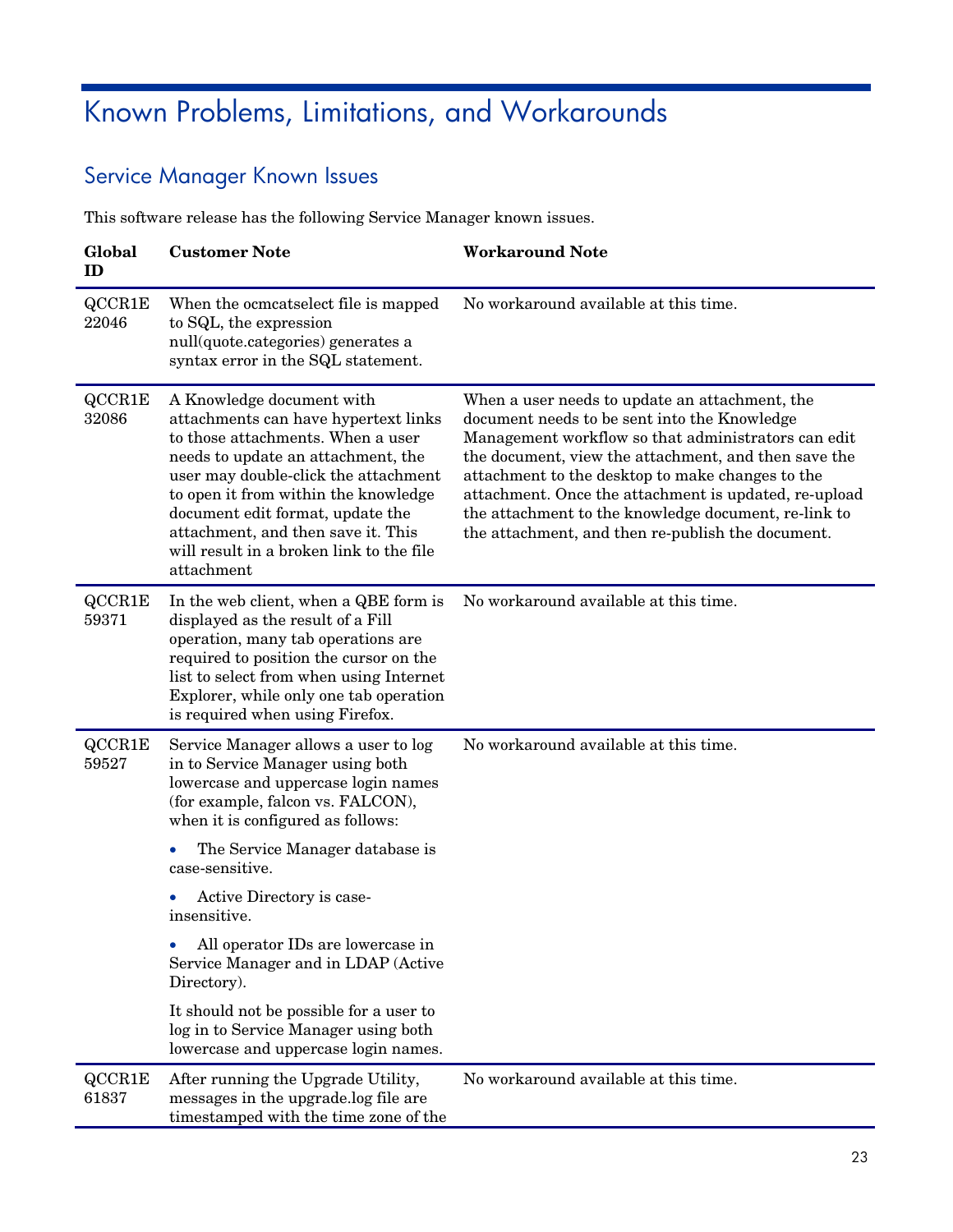# <span id="page-22-0"></span>Known Problems, Limitations, and Workarounds

### <span id="page-22-1"></span>Service Manager Known Issues

This software release has the following Service Manager known issues.

| Global<br>ID           | <b>Customer Note</b>                                                                                                                                                                                                                                                                                                                                             | <b>Workaround Note</b>                                                                                                                                                                                                                                                                                                                                                                                                                  |
|------------------------|------------------------------------------------------------------------------------------------------------------------------------------------------------------------------------------------------------------------------------------------------------------------------------------------------------------------------------------------------------------|-----------------------------------------------------------------------------------------------------------------------------------------------------------------------------------------------------------------------------------------------------------------------------------------------------------------------------------------------------------------------------------------------------------------------------------------|
| QCCR1E<br>22046        | When the ocmcats elect file is mapped<br>to SQL, the expression<br>null(quote.categories) generates a<br>syntax error in the SQL statement.                                                                                                                                                                                                                      | No workaround available at this time.                                                                                                                                                                                                                                                                                                                                                                                                   |
| <b>QCCR1E</b><br>32086 | A Knowledge document with<br>attachments can have hypertext links<br>to those attachments. When a user<br>needs to update an attachment, the<br>user may double-click the attachment<br>to open it from within the knowledge<br>document edit format, update the<br>attachment, and then save it. This<br>will result in a broken link to the file<br>attachment | When a user needs to update an attachment, the<br>document needs to be sent into the Knowledge<br>Management workflow so that administrators can edit<br>the document, view the attachment, and then save the<br>attachment to the desktop to make changes to the<br>attachment. Once the attachment is updated, re-upload<br>the attachment to the knowledge document, re-link to<br>the attachment, and then re-publish the document. |
| QCCR1E<br>59371        | In the web client, when a QBE form is<br>displayed as the result of a Fill<br>operation, many tab operations are<br>required to position the cursor on the<br>list to select from when using Internet<br>Explorer, while only one tab operation<br>is required when using Firefox.                                                                               | No workaround available at this time.                                                                                                                                                                                                                                                                                                                                                                                                   |
| QCCR1E<br>59527        | Service Manager allows a user to log<br>in to Service Manager using both<br>lowercase and uppercase login names<br>(for example, falcon vs. FALCON),<br>when it is configured as follows:<br>The Service Manager database is<br>case-sensitive.<br>Active Directory is case-<br>insensitive.<br>All operator IDs are lowercase in                                | No workaround available at this time.                                                                                                                                                                                                                                                                                                                                                                                                   |
|                        | Service Manager and in LDAP (Active<br>Directory).<br>It should not be possible for a user to<br>log in to Service Manager using both<br>lowercase and uppercase login names.                                                                                                                                                                                    |                                                                                                                                                                                                                                                                                                                                                                                                                                         |
| QCCR1E<br>61837        | After running the Upgrade Utility,<br>messages in the upgrade.log file are<br>timestamped with the time zone of the                                                                                                                                                                                                                                              | No workaround available at this time.                                                                                                                                                                                                                                                                                                                                                                                                   |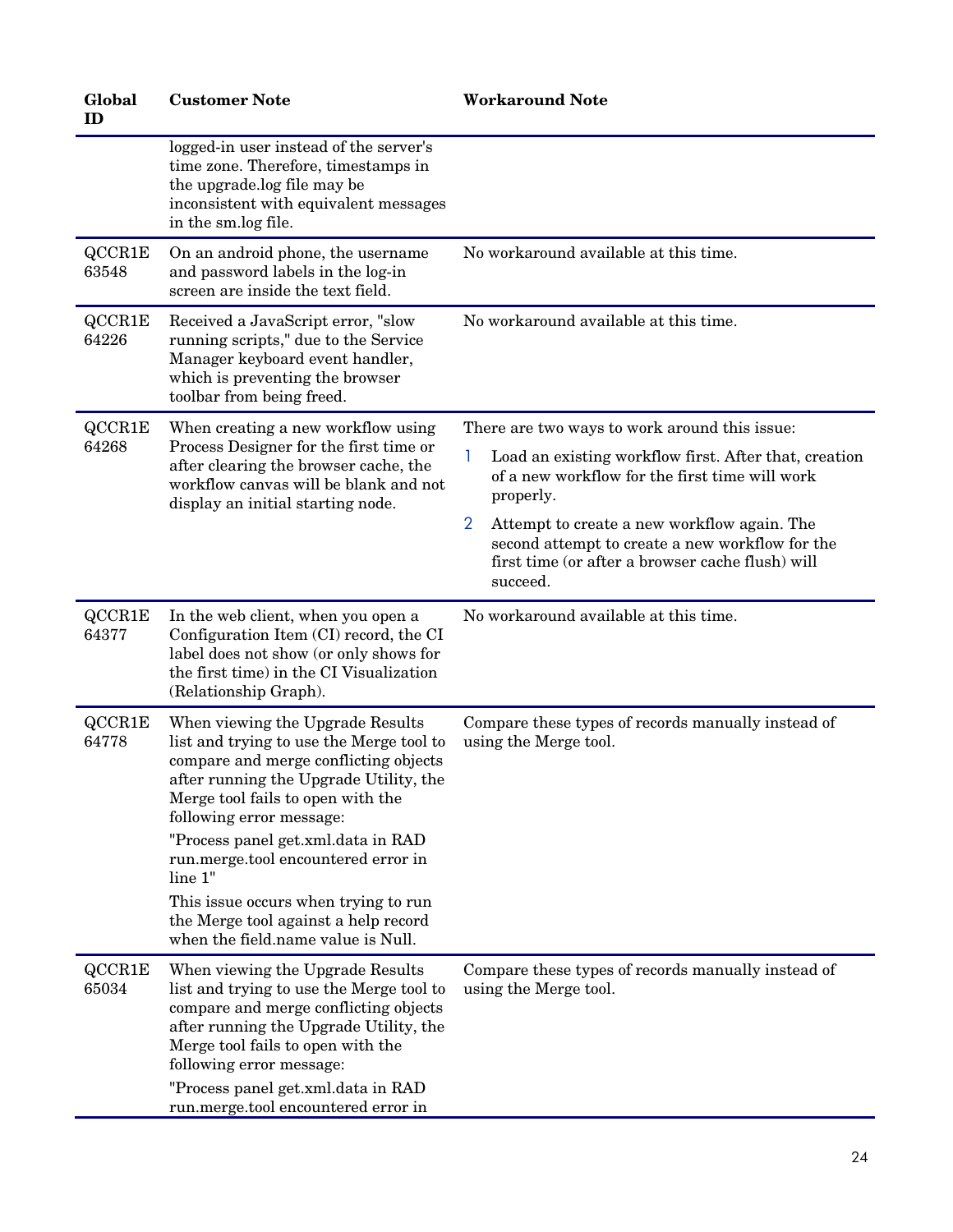| Global<br>ID    | <b>Customer Note</b>                                                                                                                                                                                                             | <b>Workaround Note</b>                                                                                                                                                           |
|-----------------|----------------------------------------------------------------------------------------------------------------------------------------------------------------------------------------------------------------------------------|----------------------------------------------------------------------------------------------------------------------------------------------------------------------------------|
|                 | logged-in user instead of the server's<br>time zone. Therefore, timestamps in<br>the upgrade.log file may be<br>inconsistent with equivalent messages<br>in the sm.log file.                                                     |                                                                                                                                                                                  |
| QCCR1E<br>63548 | On an android phone, the username<br>and password labels in the log-in<br>screen are inside the text field.                                                                                                                      | No workaround available at this time.                                                                                                                                            |
| QCCR1E<br>64226 | Received a JavaScript error, "slow<br>running scripts," due to the Service<br>Manager keyboard event handler,<br>which is preventing the browser<br>toolbar from being freed.                                                    | No workaround available at this time.                                                                                                                                            |
| QCCR1E          | When creating a new workflow using                                                                                                                                                                                               | There are two ways to work around this issue:                                                                                                                                    |
| 64268           | Process Designer for the first time or<br>after clearing the browser cache, the<br>workflow canvas will be blank and not<br>display an initial starting node.                                                                    | Load an existing workflow first. After that, creation<br>of a new workflow for the first time will work<br>properly.                                                             |
|                 |                                                                                                                                                                                                                                  | $\overline{2}$<br>Attempt to create a new workflow again. The<br>second attempt to create a new workflow for the<br>first time (or after a browser cache flush) will<br>succeed. |
| QCCR1E<br>64377 | In the web client, when you open a<br>Configuration Item (CI) record, the CI<br>label does not show (or only shows for<br>the first time) in the CI Visualization<br>(Relationship Graph).                                       | No workaround available at this time.                                                                                                                                            |
| QCCR1E<br>64778 | When viewing the Upgrade Results<br>list and trying to use the Merge tool to<br>compare and merge conflicting objects<br>after running the Upgrade Utility, the<br>Merge tool fails to open with the<br>following error message: | Compare these types of records manually instead of<br>using the Merge tool.                                                                                                      |
|                 | "Process panel get.xml.data in RAD<br>run.merge.tool encountered error in<br>line 1"                                                                                                                                             |                                                                                                                                                                                  |
|                 | This issue occurs when trying to run<br>the Merge tool against a help record<br>when the field.name value is Null.                                                                                                               |                                                                                                                                                                                  |
| QCCR1E<br>65034 | When viewing the Upgrade Results<br>list and trying to use the Merge tool to<br>compare and merge conflicting objects<br>after running the Upgrade Utility, the<br>Merge tool fails to open with the<br>following error message: | Compare these types of records manually instead of<br>using the Merge tool.                                                                                                      |
|                 | "Process panel get.xml.data in RAD<br>run.merge.tool encountered error in                                                                                                                                                        |                                                                                                                                                                                  |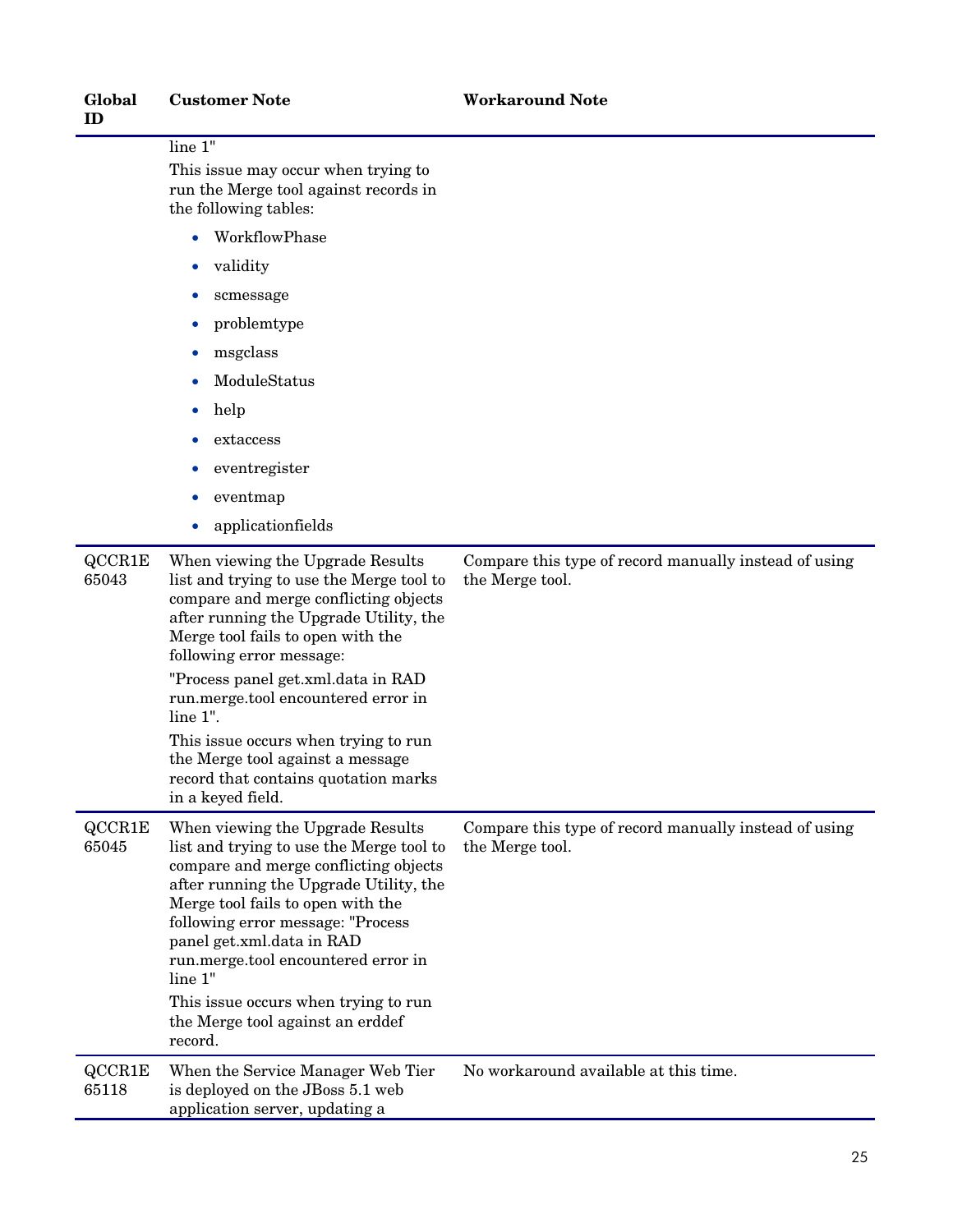### line 1"

This issue may occur when trying to run the Merge tool against records in the following tables:

- WorkflowPhase
- validity
- scmessage
- problemtype
- msgclass
- ModuleStatus
- help
- extaccess
- eventregister
- eventmap
- applicationfields

| QCCR1E<br>65043 | When viewing the Upgrade Results<br>list and trying to use the Merge tool to<br>compare and merge conflicting objects<br>after running the Upgrade Utility, the<br>Merge tool fails to open with the<br>following error message:<br>"Process panel get.xml.data in RAD<br>run.merge.tool encountered error in<br>line 1".<br>This issue occurs when trying to run<br>the Merge tool against a message<br>record that contains quotation marks<br>in a keyed field. | Compare this type of record manually instead of using<br>the Merge tool. |
|-----------------|--------------------------------------------------------------------------------------------------------------------------------------------------------------------------------------------------------------------------------------------------------------------------------------------------------------------------------------------------------------------------------------------------------------------------------------------------------------------|--------------------------------------------------------------------------|
| QCCR1E<br>65045 | When viewing the Upgrade Results<br>list and trying to use the Merge tool to<br>compare and merge conflicting objects<br>after running the Upgrade Utility, the<br>Merge tool fails to open with the<br>following error message: "Process<br>panel get.xml.data in RAD<br>run.merge.tool encountered error in<br>line 1"<br>This issue occurs when trying to run<br>the Merge tool against an erddef<br>record.                                                    | Compare this type of record manually instead of using<br>the Merge tool. |
| QCCR1E<br>65118 | When the Service Manager Web Tier<br>is deployed on the JBoss 5.1 web<br>application server, updating a                                                                                                                                                                                                                                                                                                                                                            | No workaround available at this time.                                    |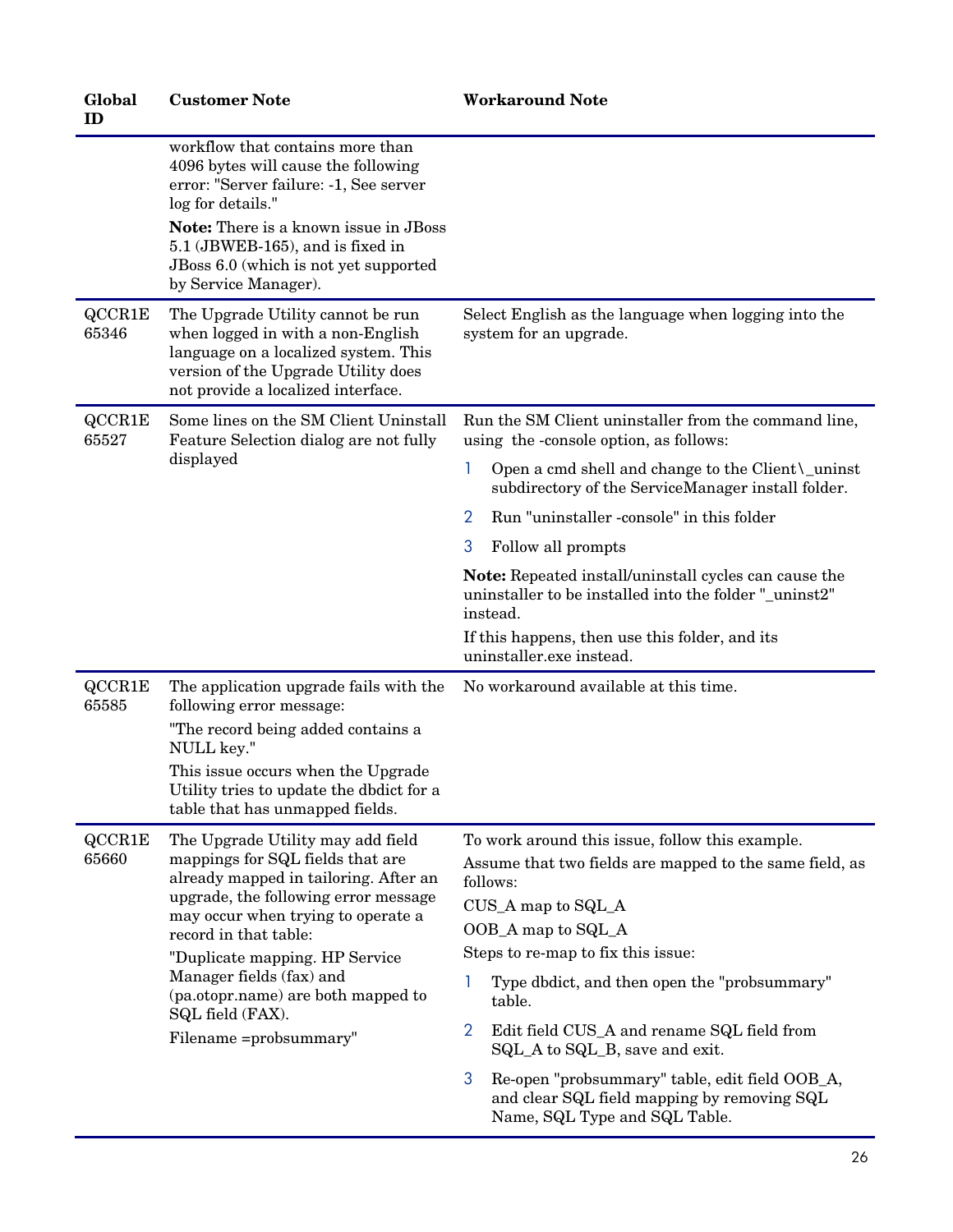| Global<br>ID    | <b>Customer Note</b>                                                                                                                                                                                                                                                                 | <b>Workaround Note</b>                                                                                                              |
|-----------------|--------------------------------------------------------------------------------------------------------------------------------------------------------------------------------------------------------------------------------------------------------------------------------------|-------------------------------------------------------------------------------------------------------------------------------------|
|                 | workflow that contains more than<br>4096 bytes will cause the following<br>error: "Server failure: -1, See server<br>log for details."                                                                                                                                               |                                                                                                                                     |
|                 | <b>Note:</b> There is a known issue in JBoss<br>5.1 (JBWEB-165), and is fixed in<br>JBoss 6.0 (which is not yet supported<br>by Service Manager).                                                                                                                                    |                                                                                                                                     |
| QCCR1E<br>65346 | The Upgrade Utility cannot be run<br>when logged in with a non-English<br>language on a localized system. This<br>version of the Upgrade Utility does<br>not provide a localized interface.                                                                                          | Select English as the language when logging into the<br>system for an upgrade.                                                      |
| QCCR1E<br>65527 | Some lines on the SM Client Uninstall<br>Feature Selection dialog are not fully                                                                                                                                                                                                      | Run the SM Client uninstaller from the command line,<br>using the -console option, as follows:                                      |
|                 | displayed                                                                                                                                                                                                                                                                            | Open a cmd shell and change to the Client \_uninst<br>-1<br>subdirectory of the ServiceManager install folder.                      |
|                 |                                                                                                                                                                                                                                                                                      | 2<br>Run "uninstaller -console" in this folder                                                                                      |
|                 |                                                                                                                                                                                                                                                                                      | 3<br>Follow all prompts                                                                                                             |
|                 |                                                                                                                                                                                                                                                                                      | <b>Note:</b> Repeated install/uninstall cycles can cause the<br>uninstaller to be installed into the folder "_uninst2"<br>instead.  |
|                 |                                                                                                                                                                                                                                                                                      | If this happens, then use this folder, and its<br>uninstaller.exe instead.                                                          |
| QCCR1E<br>65585 | The application upgrade fails with the<br>following error message:<br>"The record being added contains a<br>NULL key."                                                                                                                                                               | No workaround available at this time.                                                                                               |
|                 | This issue occurs when the Upgrade<br>Utility tries to update the dbdict for a<br>table that has unmapped fields.                                                                                                                                                                    |                                                                                                                                     |
| QCCR1E          | The Upgrade Utility may add field                                                                                                                                                                                                                                                    | To work around this issue, follow this example.                                                                                     |
| 65660           | mappings for SQL fields that are<br>already mapped in tailoring. After an<br>upgrade, the following error message<br>may occur when trying to operate a<br>record in that table:<br>"Duplicate mapping. HP Service<br>Manager fields (fax) and<br>(pa.otopr.name) are both mapped to | Assume that two fields are mapped to the same field, as<br>follows:                                                                 |
|                 |                                                                                                                                                                                                                                                                                      | CUS_A map to SQL_A                                                                                                                  |
|                 |                                                                                                                                                                                                                                                                                      | OOB_A map to SQL_A<br>Steps to re-map to fix this issue:                                                                            |
|                 |                                                                                                                                                                                                                                                                                      | Type dbdict, and then open the "probsummary"<br>table.                                                                              |
|                 | SQL field (FAX).<br>Filename =probsummary"                                                                                                                                                                                                                                           | 2<br>Edit field CUS_A and rename SQL field from<br>SQL_A to SQL_B, save and exit.                                                   |
|                 |                                                                                                                                                                                                                                                                                      | 3<br>Re-open "probsummary" table, edit field OOB_A,<br>and clear SQL field mapping by removing SQL<br>Name, SQL Type and SQL Table. |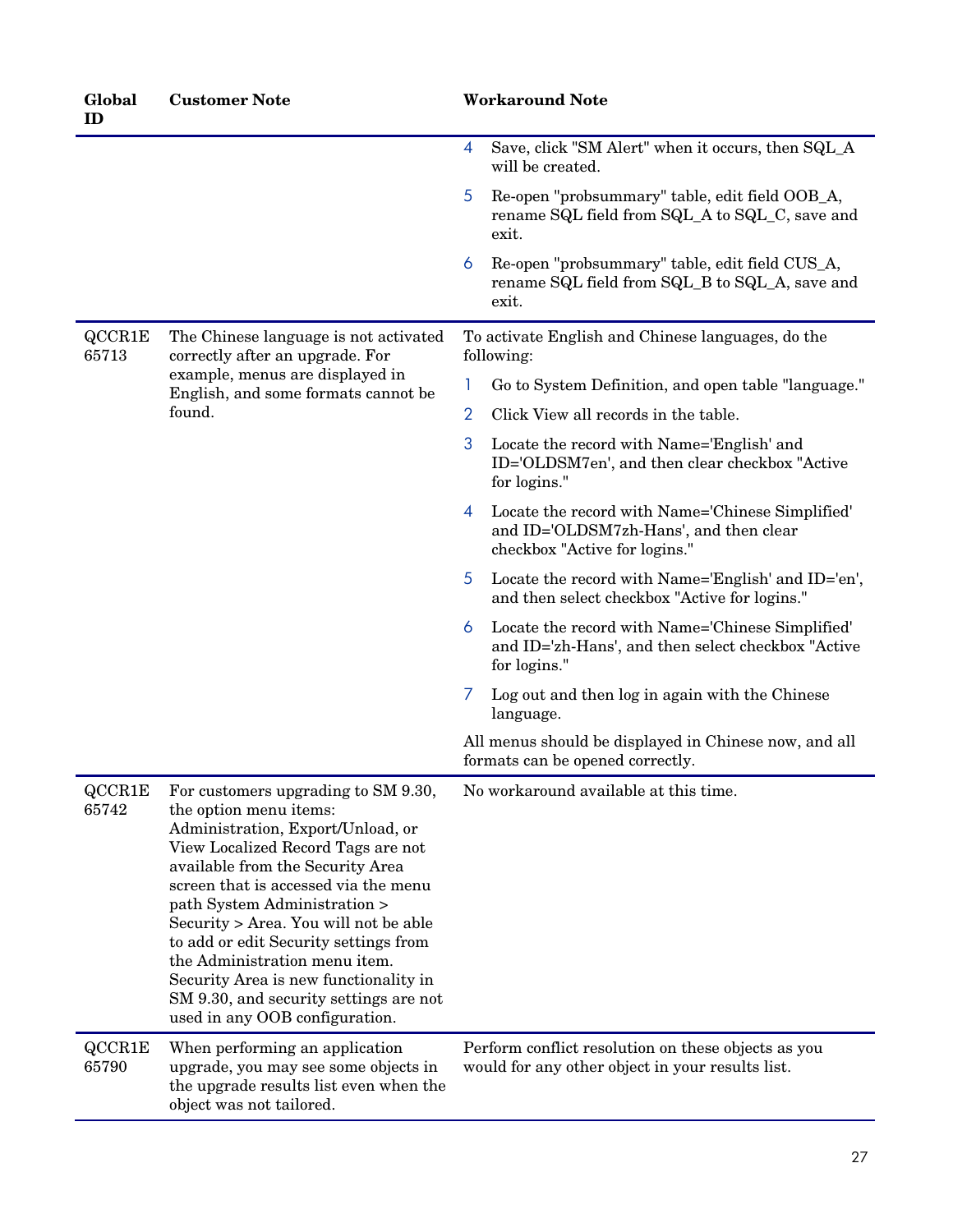| <b>Customer Note</b>                                                                                                                                                                                                                                                                                                                                                                                                                                                                         | <b>Workaround Note</b>                                                 |                                                                                                                             |
|----------------------------------------------------------------------------------------------------------------------------------------------------------------------------------------------------------------------------------------------------------------------------------------------------------------------------------------------------------------------------------------------------------------------------------------------------------------------------------------------|------------------------------------------------------------------------|-----------------------------------------------------------------------------------------------------------------------------|
|                                                                                                                                                                                                                                                                                                                                                                                                                                                                                              | 4                                                                      | Save, click "SM Alert" when it occurs, then SQL_A<br>will be created.                                                       |
|                                                                                                                                                                                                                                                                                                                                                                                                                                                                                              | 5                                                                      | Re-open "probsummary" table, edit field OOB_A,<br>rename SQL field from SQL_A to SQL_C, save and<br>exit.                   |
|                                                                                                                                                                                                                                                                                                                                                                                                                                                                                              | 6                                                                      | Re-open "probsummary" table, edit field CUS_A,<br>rename SQL field from SQL_B to SQL_A, save and<br>exit.                   |
| The Chinese language is not activated<br>correctly after an upgrade. For                                                                                                                                                                                                                                                                                                                                                                                                                     |                                                                        | To activate English and Chinese languages, do the<br>following:                                                             |
|                                                                                                                                                                                                                                                                                                                                                                                                                                                                                              |                                                                        | Go to System Definition, and open table "language."                                                                         |
| found.                                                                                                                                                                                                                                                                                                                                                                                                                                                                                       | 2                                                                      | Click View all records in the table.                                                                                        |
|                                                                                                                                                                                                                                                                                                                                                                                                                                                                                              | 3                                                                      | Locate the record with Name='English' and<br>ID='OLDSM7en', and then clear checkbox "Active<br>for logins."                 |
|                                                                                                                                                                                                                                                                                                                                                                                                                                                                                              | 4                                                                      | Locate the record with Name='Chinese Simplified'<br>and ID='OLDSM7zh-Hans', and then clear<br>checkbox "Active for logins." |
|                                                                                                                                                                                                                                                                                                                                                                                                                                                                                              | 5                                                                      | Locate the record with Name='English' and ID='en',<br>and then select checkbox "Active for logins."                         |
|                                                                                                                                                                                                                                                                                                                                                                                                                                                                                              | 6                                                                      | Locate the record with Name='Chinese Simplified'<br>and ID='zh-Hans', and then select checkbox "Active<br>for logins."      |
|                                                                                                                                                                                                                                                                                                                                                                                                                                                                                              | Z                                                                      | Log out and then log in again with the Chinese<br>language.                                                                 |
|                                                                                                                                                                                                                                                                                                                                                                                                                                                                                              |                                                                        | All menus should be displayed in Chinese now, and all<br>formats can be opened correctly.                                   |
| For customers upgrading to SM 9.30,<br>the option menu items:<br>Administration, Export/Unload, or<br>View Localized Record Tags are not<br>available from the Security Area<br>screen that is accessed via the menu<br>path System Administration ><br>Security > Area. You will not be able<br>to add or edit Security settings from<br>the Administration menu item.<br>Security Area is new functionality in<br>SM 9.30, and security settings are not<br>used in any OOB configuration. | No workaround available at this time.                                  |                                                                                                                             |
| When performing an application<br>upgrade, you may see some objects in<br>the upgrade results list even when the<br>object was not tailored.                                                                                                                                                                                                                                                                                                                                                 |                                                                        | Perform conflict resolution on these objects as you<br>would for any other object in your results list.                     |
|                                                                                                                                                                                                                                                                                                                                                                                                                                                                                              | example, menus are displayed in<br>English, and some formats cannot be |                                                                                                                             |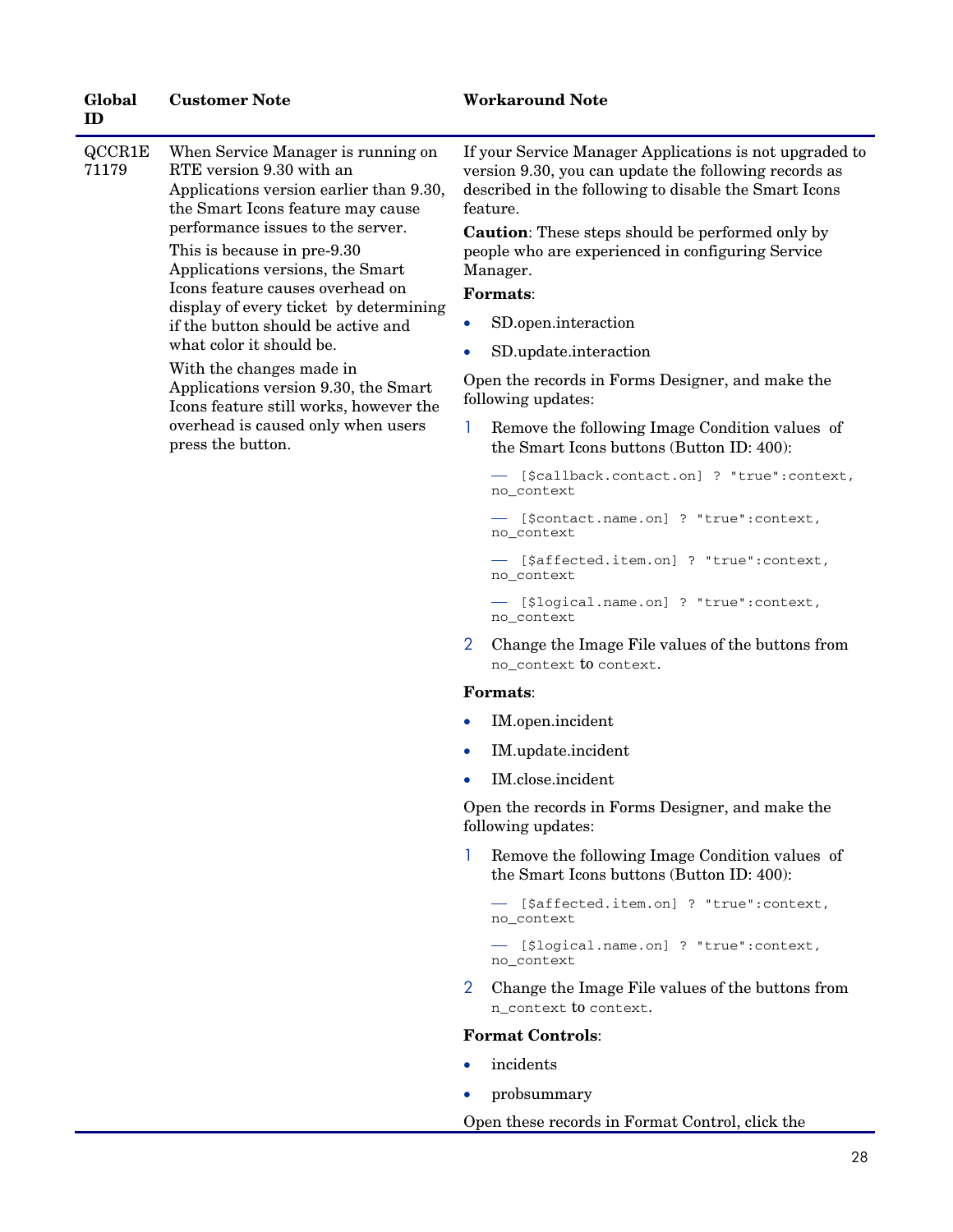| Global<br>ID    | <b>Customer Note</b>                                                                                                                                                                | <b>Workaround Note</b>                                                                                                                                                                |                                                                                                  |
|-----------------|-------------------------------------------------------------------------------------------------------------------------------------------------------------------------------------|---------------------------------------------------------------------------------------------------------------------------------------------------------------------------------------|--------------------------------------------------------------------------------------------------|
| QCCR1E<br>71179 | When Service Manager is running on<br>RTE version 9.30 with an<br>Applications version earlier than 9.30,<br>the Smart Icons feature may cause<br>performance issues to the server. | If your Service Manager Applications is not upgraded to<br>version 9.30, you can update the following records as<br>described in the following to disable the Smart Icons<br>feature. |                                                                                                  |
|                 |                                                                                                                                                                                     | <b>Caution:</b> These steps should be performed only by                                                                                                                               |                                                                                                  |
|                 | This is because in pre-9.30<br>Applications versions, the Smart                                                                                                                     | people who are experienced in configuring Service<br>Manager.                                                                                                                         |                                                                                                  |
|                 | Icons feature causes overhead on                                                                                                                                                    | <b>Formats:</b>                                                                                                                                                                       |                                                                                                  |
|                 | display of every ticket by determining<br>if the button should be active and<br>what color it should be.                                                                            | SD.open.interaction<br>$\bullet$                                                                                                                                                      |                                                                                                  |
|                 |                                                                                                                                                                                     | SD.update.interaction<br>0                                                                                                                                                            |                                                                                                  |
|                 | With the changes made in<br>Applications version 9.30, the Smart<br>Icons feature still works, however the                                                                          | Open the records in Forms Designer, and make the<br>following updates:                                                                                                                |                                                                                                  |
|                 | overhead is caused only when users<br>press the button.                                                                                                                             | Remove the following Image Condition values of<br>$\mathbf{I}$<br>the Smart Icons buttons (Button ID: 400):                                                                           |                                                                                                  |
|                 |                                                                                                                                                                                     | [\$callback.contact.on] ? "true":context,<br>no_context                                                                                                                               |                                                                                                  |
|                 |                                                                                                                                                                                     | [\$contact.name.on] ? "true":context,<br>no_context                                                                                                                                   |                                                                                                  |
|                 |                                                                                                                                                                                     | - [\$affected.item.on] ? "true":context,<br>no_context                                                                                                                                |                                                                                                  |
|                 |                                                                                                                                                                                     | - [\$logical.name.on] ? "true":context,<br>no_context                                                                                                                                 |                                                                                                  |
|                 | 2<br>Change the Image File values of the buttons from<br>no_context to context.                                                                                                     |                                                                                                                                                                                       |                                                                                                  |
|                 |                                                                                                                                                                                     | <b>Formats:</b>                                                                                                                                                                       |                                                                                                  |
|                 |                                                                                                                                                                                     | IM.open.incident<br>$\bullet$                                                                                                                                                         |                                                                                                  |
|                 |                                                                                                                                                                                     | IM.update.incident<br>$\bullet$                                                                                                                                                       |                                                                                                  |
|                 |                                                                                                                                                                                     | IM.close.incident<br>$\bullet$                                                                                                                                                        |                                                                                                  |
|                 |                                                                                                                                                                                     | Open the records in Forms Designer, and make the<br>following updates:                                                                                                                |                                                                                                  |
|                 |                                                                                                                                                                                     |                                                                                                                                                                                       | Remove the following Image Condition values of<br>1<br>the Smart Icons buttons (Button ID: 400): |
|                 |                                                                                                                                                                                     |                                                                                                                                                                                       |                                                                                                  |
|                 |                                                                                                                                                                                     | - [\$logical.name.on] ? "true":context,<br>no_context                                                                                                                                 |                                                                                                  |
|                 |                                                                                                                                                                                     | $\overline{2}$<br>Change the Image File values of the buttons from<br>n_context to context.                                                                                           |                                                                                                  |
|                 |                                                                                                                                                                                     | <b>Format Controls:</b>                                                                                                                                                               |                                                                                                  |
|                 |                                                                                                                                                                                     | incidents                                                                                                                                                                             |                                                                                                  |
|                 |                                                                                                                                                                                     | probsummary                                                                                                                                                                           |                                                                                                  |
|                 |                                                                                                                                                                                     | Open these records in Format Control, click the                                                                                                                                       |                                                                                                  |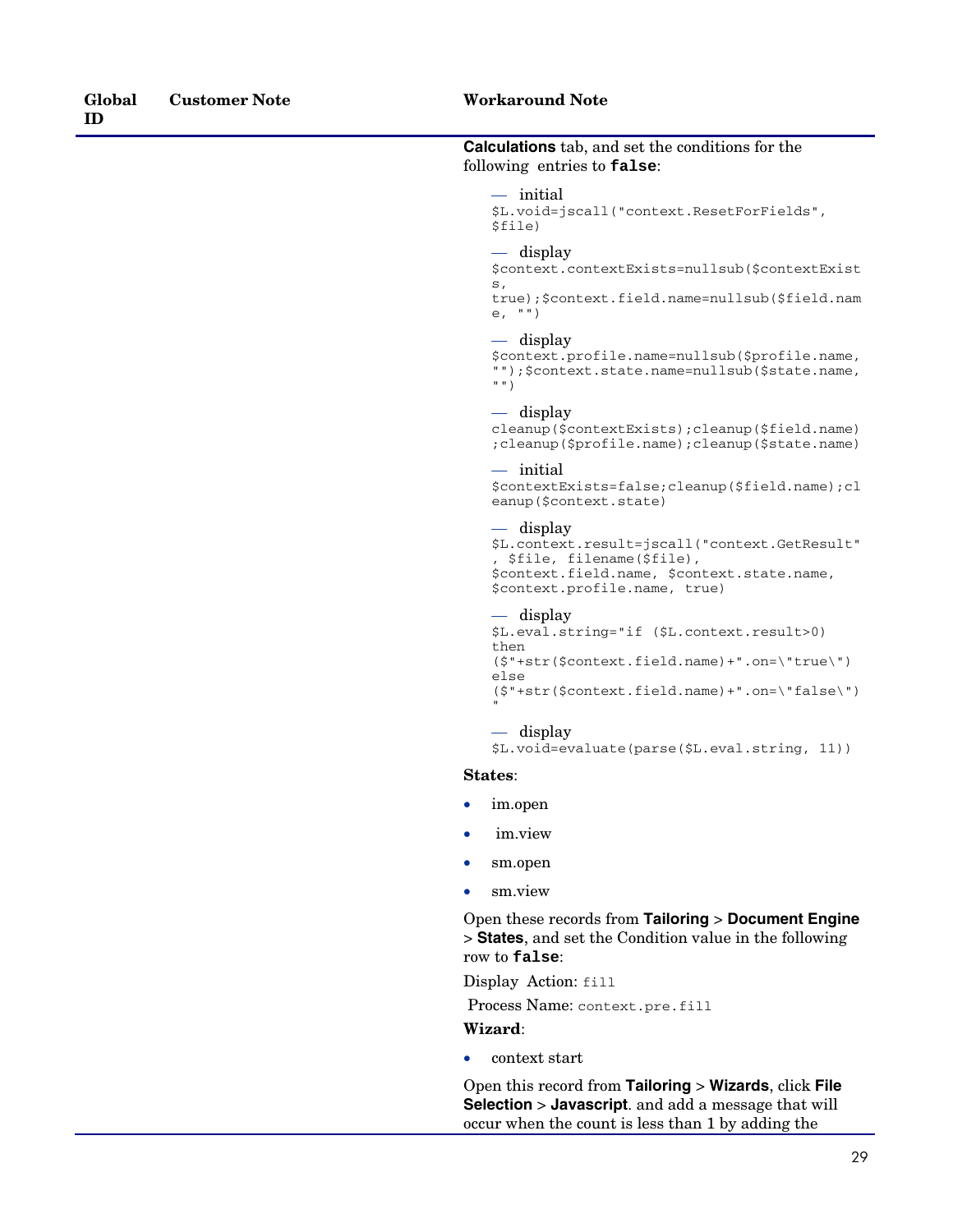| GIODAL<br>ID | <b>Customer</b> Note | ٧           |
|--------------|----------------------|-------------|
|              |                      | $\mathbf f$ |
|              |                      |             |
|              |                      |             |
|              |                      |             |
|              |                      |             |
|              |                      |             |

**Global** 

#### **Customer Note Workaround Note**

### **Calculations** tab, and set the conditions for the following entries to **false**:

— initial \$L.void=jscall("context.ResetForFields", \$file)

#### — display

\$context.contextExists=nullsub(\$contextExist s,

true);\$context.field.name=nullsub(\$field.nam e, "")

#### — display

\$context.profile.name=nullsub(\$profile.name, "");\$context.state.name=nullsub(\$state.name, "")

#### — display

cleanup(\$contextExists);cleanup(\$field.name) ;cleanup(\$profile.name);cleanup(\$state.name)

#### — initial

\$contextExists=false;cleanup(\$field.name);cl eanup(\$context.state)

#### — display

\$L.context.result=jscall("context.GetResult" , \$file, filename(\$file), \$context.field.name, \$context.state.name, \$context.profile.name, true)

```
— display
```
\$L.eval.string="if (\$L.context.result>0) then (\$"+str(\$context.field.name)+".on=\"true\") else (\$"+str(\$context.field.name)+".on=\"false\") "

#### — display

\$L.void=evaluate(parse(\$L.eval.string, 11))

#### **States**:

- im.open
- im.view
- sm.open
- sm.view

Open these records from **Tailoring** > **Document Engine** > **States**, and set the Condition value in the following row to **false**:

Display Action: fill

Process Name: context.pre.fill **Wizard**:

• context start

Open this record from **Tailoring** > **Wizards**, click **File Selection** > **Javascript**. and add a message that will occur when the count is less than 1 by adding the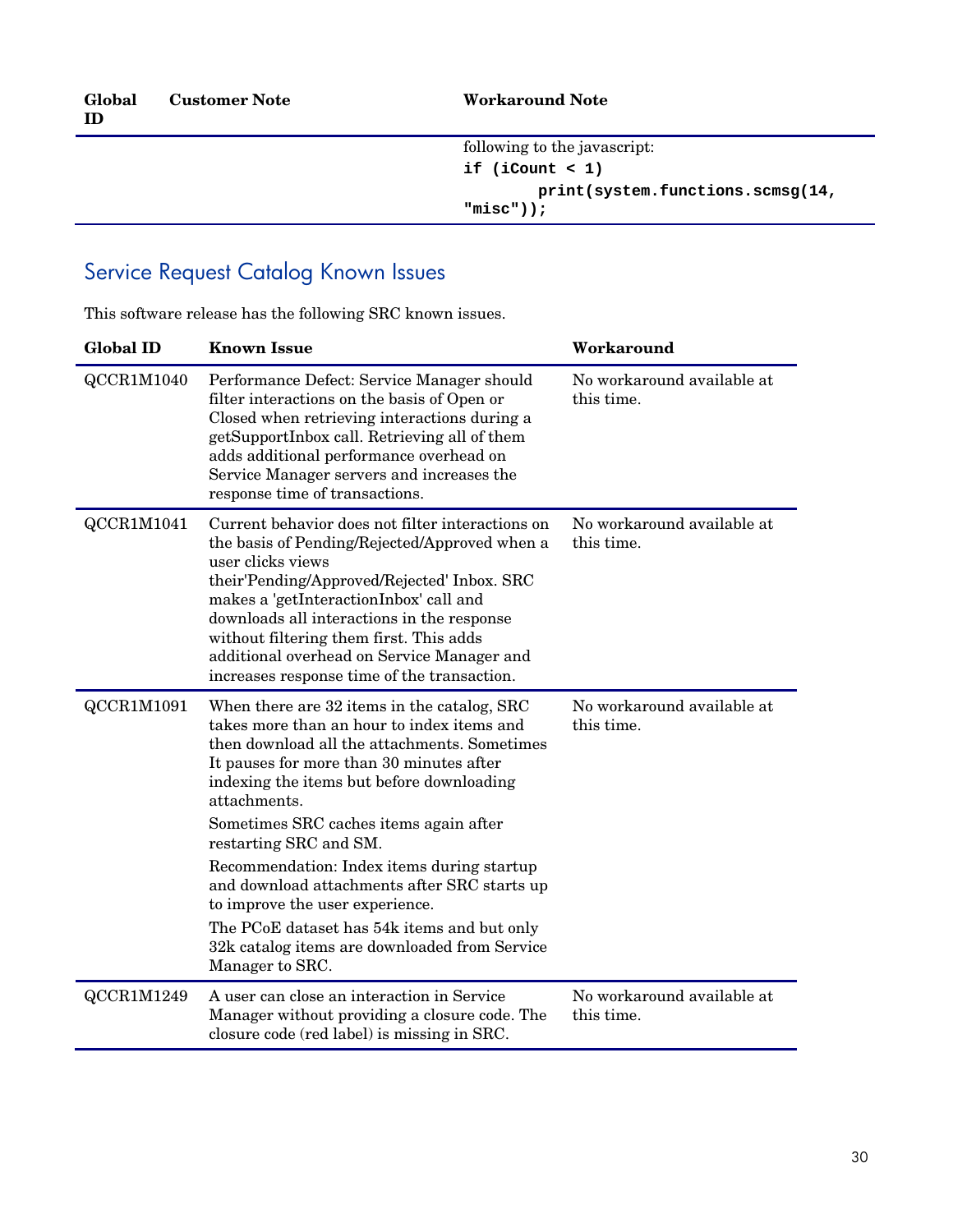| Global<br>ID | <b>Customer Note</b> | <b>Workaround Note</b>                             |
|--------------|----------------------|----------------------------------------------------|
|              |                      | following to the javascript:                       |
|              |                      | if $(iCount < 1)$                                  |
|              |                      | print(system.functions.scmsg(14,<br>$"missc")$ ) : |

## <span id="page-29-0"></span>Service Request Catalog Known Issues

This software release has the following SRC known issues.

| <b>Global ID</b> | <b>Known Issue</b>                                                                                                                                                                                                                                                                                                                                                                                    | Workaround                               |
|------------------|-------------------------------------------------------------------------------------------------------------------------------------------------------------------------------------------------------------------------------------------------------------------------------------------------------------------------------------------------------------------------------------------------------|------------------------------------------|
| QCCR1M1040       | Performance Defect: Service Manager should<br>filter interactions on the basis of Open or<br>Closed when retrieving interactions during a<br>getSupportInbox call. Retrieving all of them<br>adds additional performance overhead on<br>Service Manager servers and increases the<br>response time of transactions.                                                                                   | No workaround available at<br>this time. |
| QCCR1M1041       | Current behavior does not filter interactions on<br>the basis of Pending/Rejected/Approved when a<br>user clicks views<br>their'Pending/Approved/Rejected' Inbox. SRC<br>makes a 'getInteractionInbox' call and<br>downloads all interactions in the response<br>without filtering them first. This adds<br>additional overhead on Service Manager and<br>increases response time of the transaction. | No workaround available at<br>this time. |
| QCCR1M1091       | When there are 32 items in the catalog, SRC<br>takes more than an hour to index items and<br>then download all the attachments. Sometimes<br>It pauses for more than 30 minutes after<br>indexing the items but before downloading<br>attachments.<br>Sometimes SRC caches items again after<br>restarting SRC and SM.<br>Recommendation: Index items during startup                                  | No workaround available at<br>this time. |
|                  | and download attachments after SRC starts up<br>to improve the user experience.                                                                                                                                                                                                                                                                                                                       |                                          |
|                  | The PCoE dataset has 54k items and but only<br>32k catalog items are downloaded from Service<br>Manager to SRC.                                                                                                                                                                                                                                                                                       |                                          |
| QCCR1M1249       | A user can close an interaction in Service<br>Manager without providing a closure code. The<br>closure code (red label) is missing in SRC.                                                                                                                                                                                                                                                            | No workaround available at<br>this time. |

۳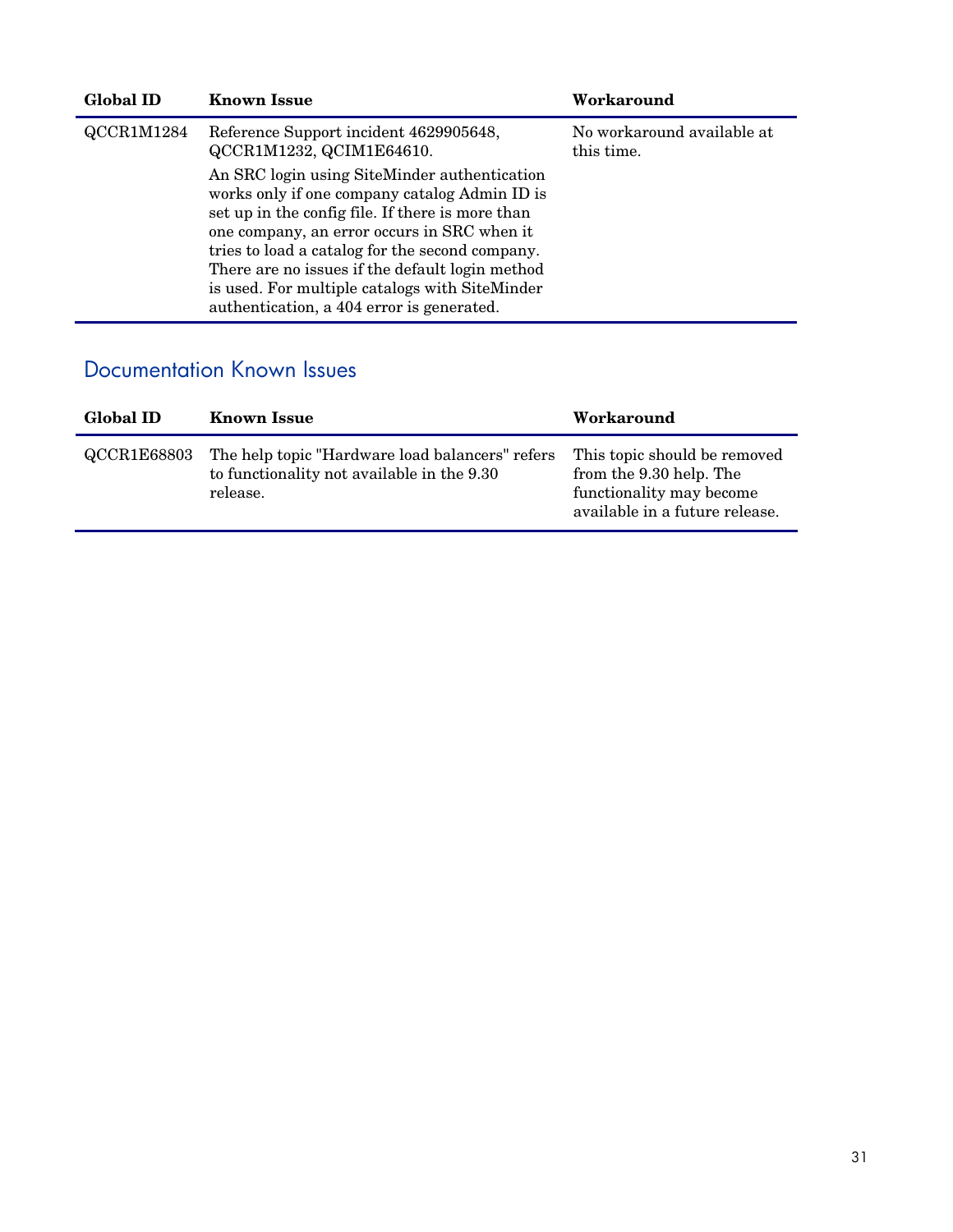| <b>Global ID</b> | <b>Known Issue</b>                                                                                                                                                                                                                                                                                                                                                                                    | Workaround                               |
|------------------|-------------------------------------------------------------------------------------------------------------------------------------------------------------------------------------------------------------------------------------------------------------------------------------------------------------------------------------------------------------------------------------------------------|------------------------------------------|
| QCCR1M1284       | Reference Support incident 4629905648,<br>QCCR1M1232, QCIM1E64610.                                                                                                                                                                                                                                                                                                                                    | No workaround available at<br>this time. |
|                  | An SRC login using SiteMinder authentication<br>works only if one company catalog Admin ID is<br>set up in the config file. If there is more than<br>one company, an error occurs in SRC when it<br>tries to load a catalog for the second company.<br>There are no issues if the default login method<br>is used. For multiple catalogs with SiteMinder<br>authentication, a 404 error is generated. |                                          |

### <span id="page-30-0"></span>Documentation Known Issues

| <b>Global ID</b> | <b>Known Issue</b>                                                                                        | Workaround                                                                                                            |
|------------------|-----------------------------------------------------------------------------------------------------------|-----------------------------------------------------------------------------------------------------------------------|
| QCCR1E68803      | The help topic "Hardware load balancers" refers<br>to functionality not available in the 9.30<br>release. | This topic should be removed<br>from the 9.30 help. The<br>functionality may become<br>available in a future release. |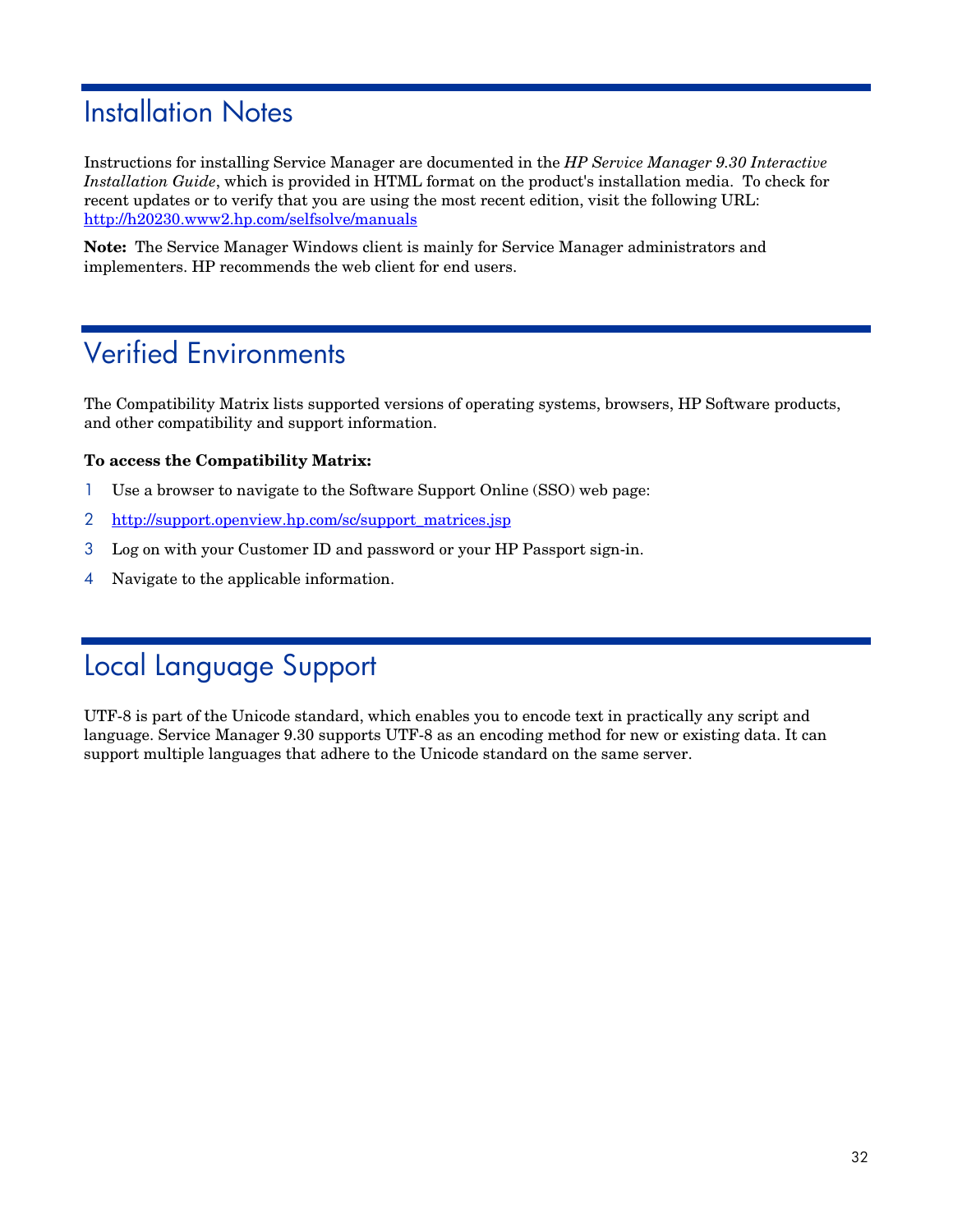# <span id="page-31-0"></span>Installation Notes

Instructions for installing Service Manager are documented in the *HP Service Manager 9.30 Interactive Installation Guide*, which is provided in HTML format on the product's installation media. To check for recent updates or to verify that you are using the most recent edition, visit the following URL: <http://h20230.www2.hp.com/selfsolve/manuals>

<span id="page-31-1"></span>**Note:** The Service Manager Windows client is mainly for Service Manager administrators and implementers. HP recommends the web client for end users.

## Verified Environments

The Compatibility Matrix lists supported versions of operating systems, browsers, HP Software products, and other compatibility and support information.

### **To access the Compatibility Matrix:**

- 1 Use a browser to navigate to the Software Support Online (SSO) web page:
- 2 [http://support.openview.hp.com/sc/support\\_matrices.jsp](http://support.openview.hp.com/sc/support_matrices.jsp)
- 3 Log on with your Customer ID and password or your HP Passport sign-in.
- <span id="page-31-2"></span>4 Navigate to the applicable information.

# Local Language Support

UTF-8 is part of the Unicode standard, which enables you to encode text in practically any script and language. Service Manager 9.30 supports UTF-8 as an encoding method for new or existing data. It can support multiple languages that adhere to the Unicode standard on the same server.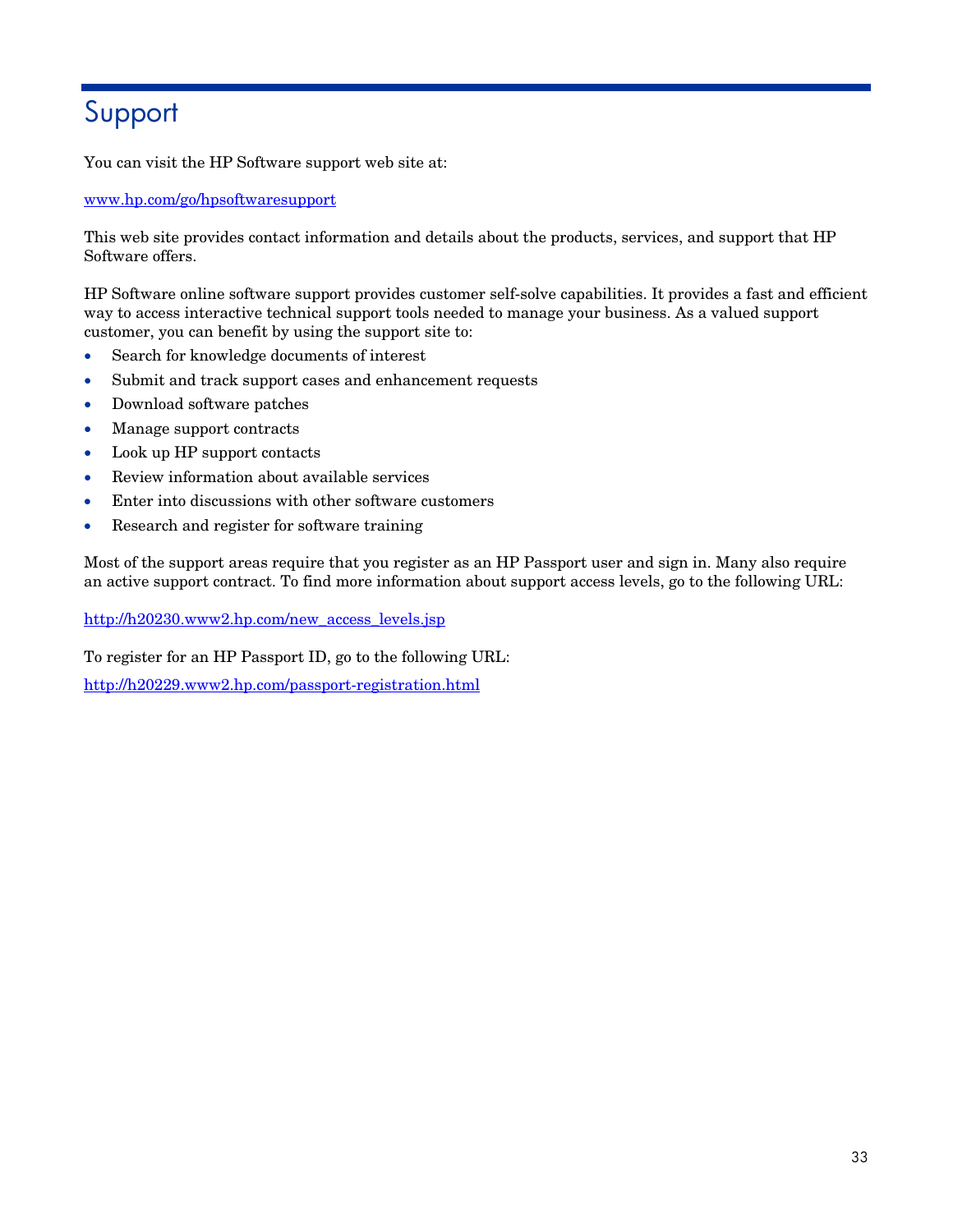# <span id="page-32-0"></span>Support

You can visit the HP Software support web site at:

[www.hp.com/go/hpsoftwaresupport](http://www.hp.com/go/hpsoftwaresupport)

This web site provides contact information and details about the products, services, and support that HP Software offers.

HP Software online software support provides customer self-solve capabilities. It provides a fast and efficient way to access interactive technical support tools needed to manage your business. As a valued support customer, you can benefit by using the support site to:

- Search for knowledge documents of interest
- Submit and track support cases and enhancement requests
- Download software patches
- Manage support contracts
- Look up HP support contacts
- Review information about available services
- Enter into discussions with other software customers
- Research and register for software training

Most of the support areas require that you register as an HP Passport user and sign in. Many also require an active support contract. To find more information about support access levels, go to the following URL:

[http://h20230.www2.hp.com/new\\_access\\_levels.jsp](http://h20230.www2.hp.com/new_access_levels.jsp)

To register for an HP Passport ID, go to the following URL:

<http://h20229.www2.hp.com/passport-registration.html>